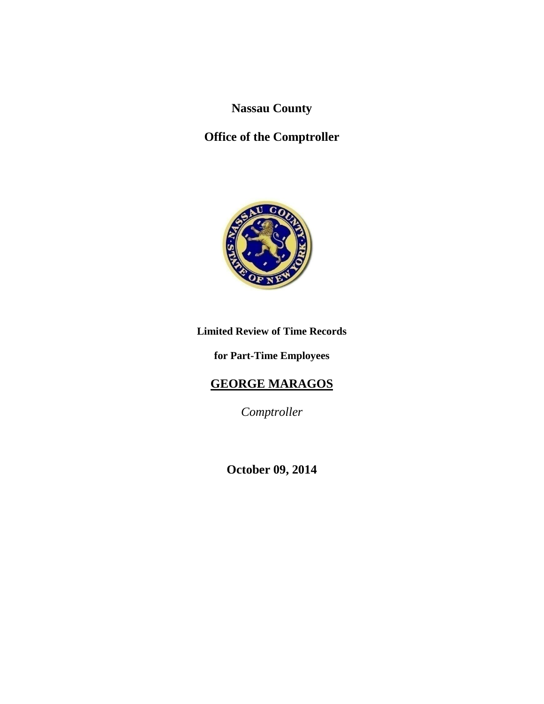**Nassau County**

# **Office of the Comptroller**



# **Limited Review of Time Records**

#### **for Part-Time Employees**

# **GEORGE MARAGOS**

*Comptroller*

**October 09, 2014**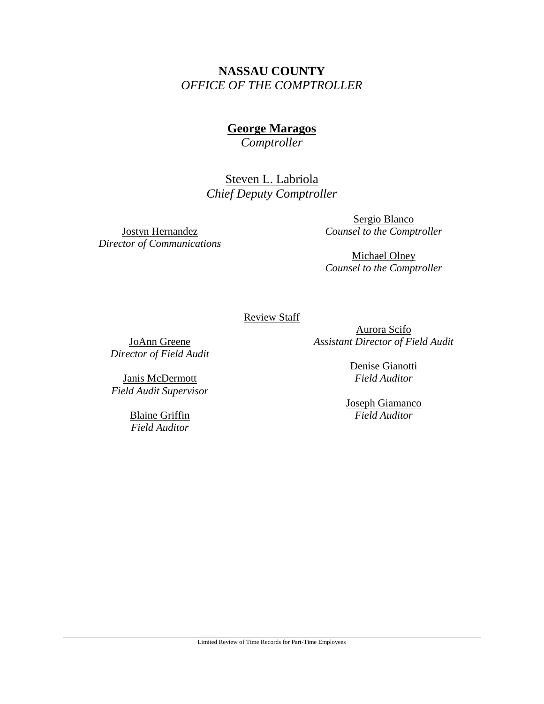# **NASSAU COUNTY** *OFFICE OF THE COMPTROLLER*

# **George Maragos**

*Comptroller*

Steven L. Labriola *Chief Deputy Comptroller*

Jostyn Hernandez *Director of Communications*

Sergio Blanco *Counsel to the Comptroller*

Michael Olney *Counsel to the Comptroller*

Review Staff

JoAnn Greene *Director of Field Audit*

Janis McDermott *Field Audit Supervisor*

> Blaine Griffin *Field Auditor*

Aurora Scifo *Assistant Director of Field Audit*

> Denise Gianotti *Field Auditor*

Joseph Giamanco *Field Auditor*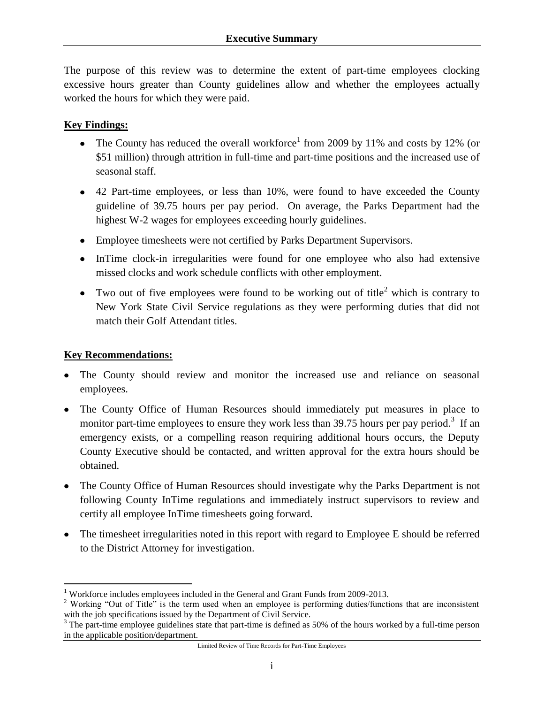The purpose of this review was to determine the extent of part-time employees clocking excessive hours greater than County guidelines allow and whether the employees actually worked the hours for which they were paid.

#### **Key Findings:**

- The County has reduced the overall workforce<sup>1</sup> from 2009 by 11% and costs by 12% (or \$51 million) through attrition in full-time and part-time positions and the increased use of seasonal staff.
- 42 Part-time employees, or less than 10%, were found to have exceeded the County guideline of 39.75 hours per pay period. On average, the Parks Department had the highest W-2 wages for employees exceeding hourly guidelines.
- Employee timesheets were not certified by Parks Department Supervisors.
- InTime clock-in irregularities were found for one employee who also had extensive missed clocks and work schedule conflicts with other employment.
- Two out of five employees were found to be working out of title<sup>2</sup> which is contrary to New York State Civil Service regulations as they were performing duties that did not match their Golf Attendant titles.

#### **Key Recommendations:**

- The County should review and monitor the increased use and reliance on seasonal employees.
- The County Office of Human Resources should immediately put measures in place to monitor part-time employees to ensure they work less than 39.75 hours per pay period.<sup>3</sup> If an emergency exists, or a compelling reason requiring additional hours occurs, the Deputy County Executive should be contacted, and written approval for the extra hours should be obtained.
- $\bullet$ The County Office of Human Resources should investigate why the Parks Department is not following County InTime regulations and immediately instruct supervisors to review and certify all employee InTime timesheets going forward.
- The timesheet irregularities noted in this report with regard to Employee E should be referred to the District Attorney for investigation.

 $\overline{a}$ <sup>1</sup> Workforce includes employees included in the General and Grant Funds from 2009-2013.

<sup>&</sup>lt;sup>2</sup> Working "Out of Title" is the term used when an employee is performing duties/functions that are inconsistent with the job specifications issued by the Department of Civil Service.

<sup>&</sup>lt;sup>3</sup> The part-time employee guidelines state that part-time is defined as 50% of the hours worked by a full-time person in the applicable position/department.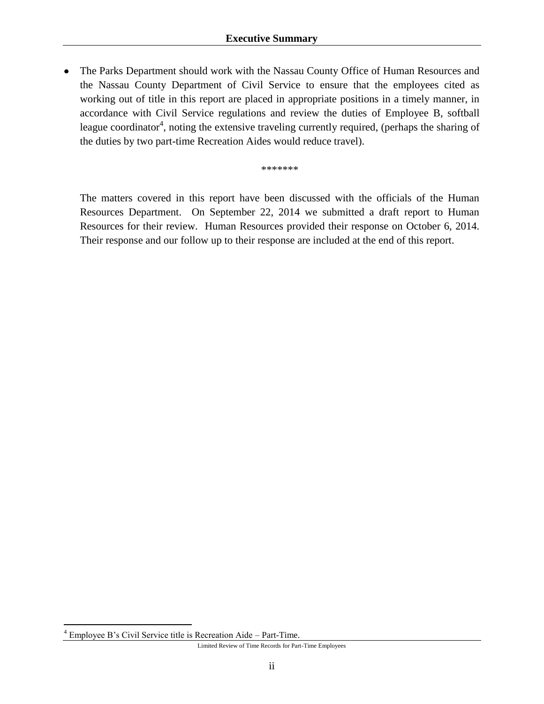• The Parks Department should work with the Nassau County Office of Human Resources and the Nassau County Department of Civil Service to ensure that the employees cited as working out of title in this report are placed in appropriate positions in a timely manner, in accordance with Civil Service regulations and review the duties of Employee B, softball league coordinator<sup>4</sup>, noting the extensive traveling currently required, (perhaps the sharing of the duties by two part-time Recreation Aides would reduce travel).

\*\*\*\*\*\*\*

The matters covered in this report have been discussed with the officials of the Human Resources Department. On September 22, 2014 we submitted a draft report to Human Resources for their review. Human Resources provided their response on October 6, 2014. Their response and our follow up to their response are included at the end of this report.

 $\overline{a}$ 

<sup>4</sup> Employee B's Civil Service title is Recreation Aide – Part-Time.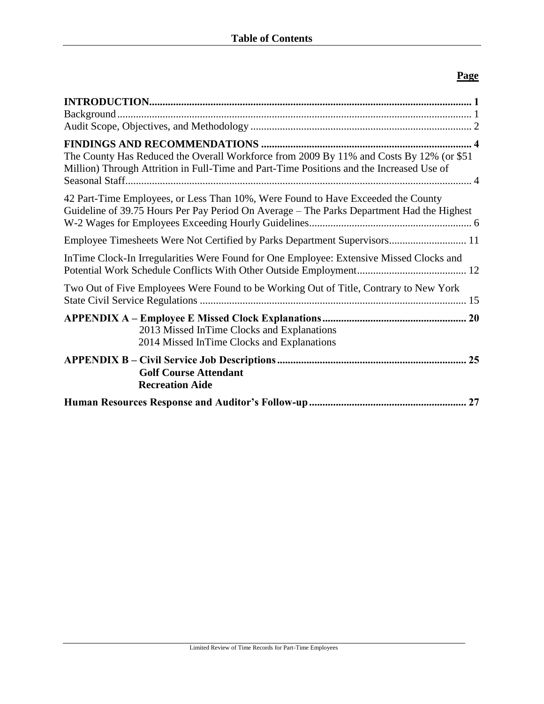#### **Page**

| The County Has Reduced the Overall Workforce from 2009 By 11% and Costs By 12% (or \$51<br>Million) Through Attrition in Full-Time and Part-Time Positions and the Increased Use of |
|-------------------------------------------------------------------------------------------------------------------------------------------------------------------------------------|
| 42 Part-Time Employees, or Less Than 10%, Were Found to Have Exceeded the County<br>Guideline of 39.75 Hours Per Pay Period On Average - The Parks Department Had the Highest       |
| Employee Timesheets Were Not Certified by Parks Department Supervisors 11                                                                                                           |
| InTime Clock-In Irregularities Were Found for One Employee: Extensive Missed Clocks and                                                                                             |
| Two Out of Five Employees Were Found to be Working Out of Title, Contrary to New York                                                                                               |
| 2013 Missed InTime Clocks and Explanations<br>2014 Missed InTime Clocks and Explanations                                                                                            |
| 25<br><b>Golf Course Attendant</b><br><b>Recreation Aide</b>                                                                                                                        |
| 27                                                                                                                                                                                  |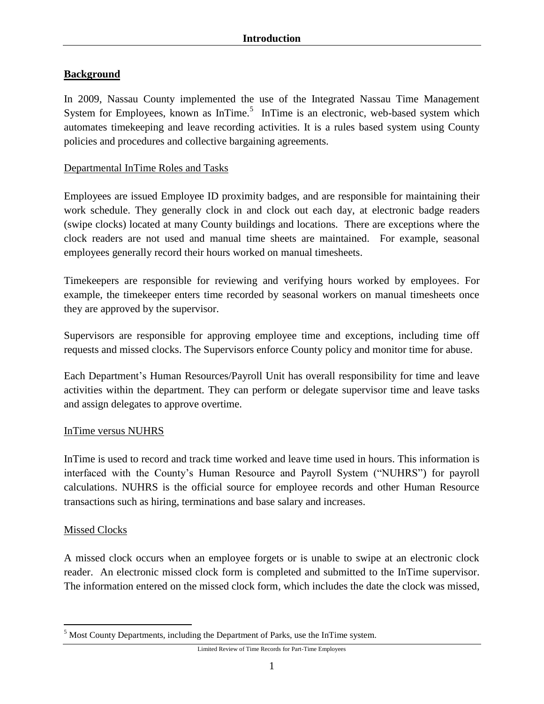#### <span id="page-5-1"></span><span id="page-5-0"></span>**Background**

In 2009, Nassau County implemented the use of the Integrated Nassau Time Management System for Employees, known as InTime.<sup>5</sup> InTime is an electronic, web-based system which automates timekeeping and leave recording activities. It is a rules based system using County policies and procedures and collective bargaining agreements.

#### Departmental InTime Roles and Tasks

Employees are issued Employee ID proximity badges, and are responsible for maintaining their work schedule. They generally clock in and clock out each day, at electronic badge readers (swipe clocks) located at many County buildings and locations. There are exceptions where the clock readers are not used and manual time sheets are maintained. For example, seasonal employees generally record their hours worked on manual timesheets.

Timekeepers are responsible for reviewing and verifying hours worked by employees. For example, the timekeeper enters time recorded by seasonal workers on manual timesheets once they are approved by the supervisor.

Supervisors are responsible for approving employee time and exceptions, including time off requests and missed clocks. The Supervisors enforce County policy and monitor time for abuse.

Each Department's Human Resources/Payroll Unit has overall responsibility for time and leave activities within the department. They can perform or delegate supervisor time and leave tasks and assign delegates to approve overtime.

#### InTime versus NUHRS

InTime is used to record and track time worked and leave time used in hours. This information is interfaced with the County's Human Resource and Payroll System ("NUHRS") for payroll calculations. NUHRS is the official source for employee records and other Human Resource transactions such as hiring, terminations and base salary and increases.

#### Missed Clocks

 $\overline{a}$ 

A missed clock occurs when an employee forgets or is unable to swipe at an electronic clock reader. An electronic missed clock form is completed and submitted to the InTime supervisor. The information entered on the missed clock form, which includes the date the clock was missed,

<sup>&</sup>lt;sup>5</sup> Most County Departments, including the Department of Parks, use the InTime system.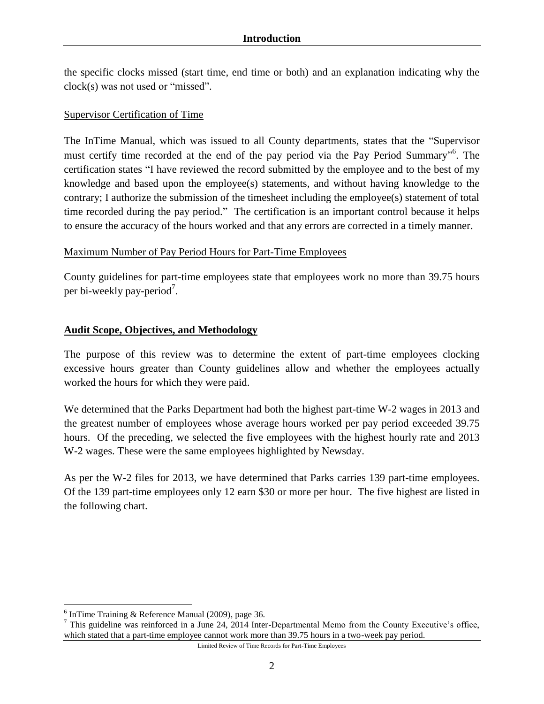the specific clocks missed (start time, end time or both) and an explanation indicating why the clock(s) was not used or "missed".

#### Supervisor Certification of Time

The InTime Manual, which was issued to all County departments, states that the "Supervisor must certify time recorded at the end of the pay period via the Pay Period Summary"<sup>6</sup>. The certification states "I have reviewed the record submitted by the employee and to the best of my knowledge and based upon the employee(s) statements, and without having knowledge to the contrary; I authorize the submission of the timesheet including the employee(s) statement of total time recorded during the pay period." The certification is an important control because it helps to ensure the accuracy of the hours worked and that any errors are corrected in a timely manner.

#### Maximum Number of Pay Period Hours for Part-Time Employees

County guidelines for part-time employees state that employees work no more than 39.75 hours per bi-weekly pay-period<sup>7</sup>.

#### <span id="page-6-0"></span>**Audit Scope, Objectives, and Methodology**

The purpose of this review was to determine the extent of part-time employees clocking excessive hours greater than County guidelines allow and whether the employees actually worked the hours for which they were paid.

We determined that the Parks Department had both the highest part-time W-2 wages in 2013 and the greatest number of employees whose average hours worked per pay period exceeded 39.75 hours. Of the preceding, we selected the five employees with the highest hourly rate and 2013 W-2 wages. These were the same employees highlighted by Newsday.

As per the W-2 files for 2013, we have determined that Parks carries 139 part-time employees. Of the 139 part-time employees only 12 earn \$30 or more per hour. The five highest are listed in the following chart.

 $\overline{a}$ 

<sup>&</sup>lt;sup>6</sup> InTime Training & Reference Manual (2009), page 36.

<sup>7</sup> This guideline was reinforced in a June 24, 2014 Inter-Departmental Memo from the County Executive's office, which stated that a part-time employee cannot work more than 39.75 hours in a two-week pay period.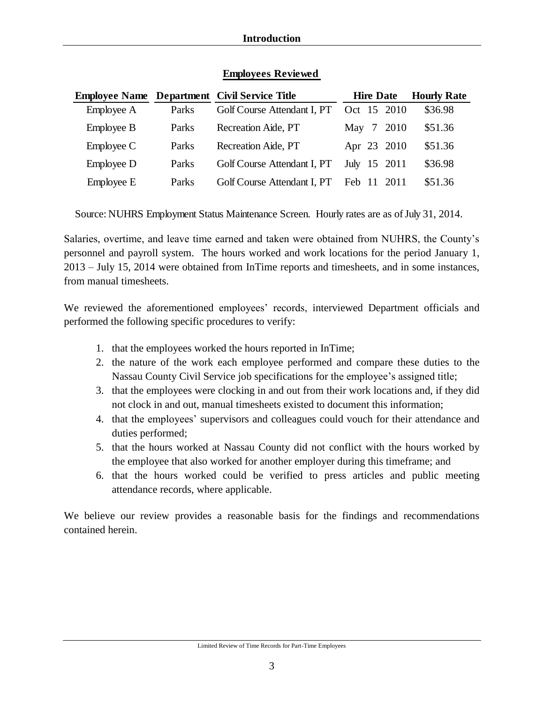|            |       | <b>Employee Name Department Civil Service Title</b> | <b>Hire Date</b> | <b>Hourly Rate</b> |
|------------|-------|-----------------------------------------------------|------------------|--------------------|
| Employee A | Parks | Golf Course Attendant I, PT                         | Oct 15 2010      | \$36.98            |
| Employee B | Parks | Recreation Aide, PT                                 | 7 2010<br>May    | \$51.36            |
| Employee C | Parks | Recreation Aide, PT                                 | Apr 23 2010      | \$51.36            |
| Employee D | Parks | Golf Course Attendant I, PT                         | 15 2011<br>July  | \$36.98            |
| Employee E | Parks | Golf Course Attendant I, PT                         | Feb 11<br>-2011  | \$51.36            |

#### **Employees Reviewed**

Source: NUHRS Employment Status Maintenance Screen. Hourly rates are as of July 31, 2014.

Salaries, overtime, and leave time earned and taken were obtained from NUHRS, the County's personnel and payroll system. The hours worked and work locations for the period January 1, 2013 – July 15, 2014 were obtained from InTime reports and timesheets, and in some instances, from manual timesheets.

We reviewed the aforementioned employees' records, interviewed Department officials and performed the following specific procedures to verify:

- 1. that the employees worked the hours reported in InTime;
- 2. the nature of the work each employee performed and compare these duties to the Nassau County Civil Service job specifications for the employee's assigned title;
- 3. that the employees were clocking in and out from their work locations and, if they did not clock in and out, manual timesheets existed to document this information;
- 4. that the employees' supervisors and colleagues could vouch for their attendance and duties performed;
- 5. that the hours worked at Nassau County did not conflict with the hours worked by the employee that also worked for another employer during this timeframe; and
- 6. that the hours worked could be verified to press articles and public meeting attendance records, where applicable.

We believe our review provides a reasonable basis for the findings and recommendations contained herein.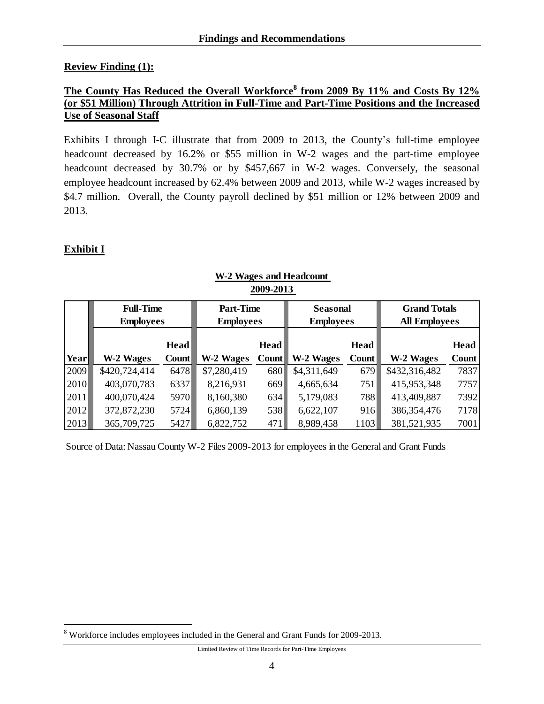#### <span id="page-8-0"></span>**Review Finding (1):**

#### <span id="page-8-1"></span>**The County Has Reduced the Overall Workforce<sup>8</sup> from 2009 By 11% and Costs By 12% (or \$51 Million) Through Attrition in Full-Time and Part-Time Positions and the Increased Use of Seasonal Staff**

Exhibits I through I-C illustrate that from 2009 to 2013, the County's full-time employee headcount decreased by 16.2% or \$55 million in W-2 wages and the part-time employee headcount decreased by 30.7% or by \$457,667 in W-2 wages. Conversely, the seasonal employee headcount increased by 62.4% between 2009 and 2013, while W-2 wages increased by \$4.7 million. Overall, the County payroll declined by \$51 million or 12% between 2009 and 2013.

#### **Exhibit I**

 $\overline{a}$ 

|      | -VV/ -V1V        |       |                  |                  |                  |                  |                     |                      |  |  |  |
|------|------------------|-------|------------------|------------------|------------------|------------------|---------------------|----------------------|--|--|--|
|      | <b>Full-Time</b> |       | <b>Part-Time</b> |                  | <b>Seasonal</b>  |                  | <b>Grand Totals</b> |                      |  |  |  |
|      | <b>Employees</b> |       |                  | <b>Employees</b> |                  | <b>Employees</b> |                     | <b>All Employees</b> |  |  |  |
|      |                  |       |                  |                  |                  |                  |                     |                      |  |  |  |
|      |                  | Head  |                  | Head             |                  | Head             |                     | <b>Head</b>          |  |  |  |
| Year | W-2 Wages        | Count | <b>W-2 Wages</b> | <b>Count</b>     | <b>W-2 Wages</b> | Count            | <b>W-2 Wages</b>    | Count                |  |  |  |
| 2009 | \$420,724,414    | 6478  | \$7,280,419      | 680              | \$4,311,649      | 679              | \$432,316,482       | 7837                 |  |  |  |
| 2010 | 403,070,783      | 6337  | 8,216,931        | 669              | 4,665,634        | 751              | 415,953,348         | 7757                 |  |  |  |
| 2011 | 400,070,424      | 5970  | 8,160,380        | 634              | 5,179,083        | 788              | 413,409,887         | 7392                 |  |  |  |
| 2012 | 372,872,230      | 5724  | 6,860,139        | 538              | 6,622,107        | 916              | 386, 354, 476       | 7178                 |  |  |  |
| 2013 | 365,709,725      | 5427  | 6,822,752        | 471              | 8,989,458        | 1103             | 381,521,935         | 7001                 |  |  |  |

#### **W-2 Wages and Headcount 2009-2013**

Source of Data: Nassau County W-2 Files 2009-2013 for employees in the General and Grant Funds

<sup>8</sup> Workforce includes employees included in the General and Grant Funds for 2009-2013.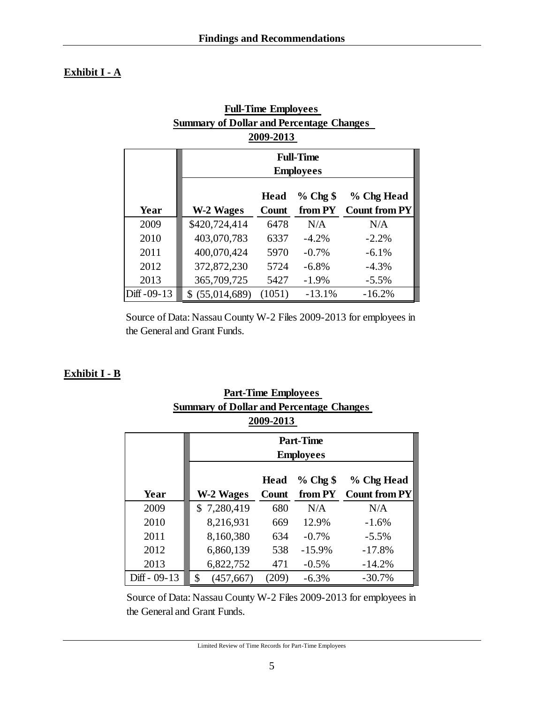#### **Exhibit I - A**

| <b>Full-Time Employees</b>                      |                 |             |                  |                      |  |  |  |  |  |
|-------------------------------------------------|-----------------|-------------|------------------|----------------------|--|--|--|--|--|
| <b>Summary of Dollar and Percentage Changes</b> |                 |             |                  |                      |  |  |  |  |  |
| 2009-2013                                       |                 |             |                  |                      |  |  |  |  |  |
| <b>Full-Time</b>                                |                 |             |                  |                      |  |  |  |  |  |
|                                                 |                 |             | <b>Employees</b> |                      |  |  |  |  |  |
|                                                 |                 |             |                  |                      |  |  |  |  |  |
|                                                 |                 | <b>Head</b> | $%$ Chg $\$      | % Chg Head           |  |  |  |  |  |
| Year                                            | W-2 Wages       | Count       | from PY          | <b>Count from PY</b> |  |  |  |  |  |
| 2009                                            | \$420,724,414   | 6478        | N/A              | N/A                  |  |  |  |  |  |
| 2010                                            | 403,070,783     | 6337        | $-4.2\%$         | $-2.2\%$             |  |  |  |  |  |
| 2011                                            | 400,070,424     | 5970        | $-0.7\%$         | $-6.1\%$             |  |  |  |  |  |
| 2012                                            | 372,872,230     | 5724        | $-6.8\%$         | $-4.3%$              |  |  |  |  |  |
| 2013                                            | 365,709,725     | 5427        | $-1.9%$          | $-5.5%$              |  |  |  |  |  |
| Diff -09-13                                     | \$ (55,014,689) | (1051)      | $-13.1%$         | $-16.2%$             |  |  |  |  |  |

Source of Data: Nassau County W-2 Files 2009-2013 for employees in the General and Grant Funds.

#### **Exhibit I - B**

| Summary of Dollar and Percentage Changes |                                          |       |                  |                      |  |  |  |  |  |
|------------------------------------------|------------------------------------------|-------|------------------|----------------------|--|--|--|--|--|
| 2009-2013                                |                                          |       |                  |                      |  |  |  |  |  |
| <b>Part-Time</b>                         |                                          |       |                  |                      |  |  |  |  |  |
|                                          |                                          |       | <b>Employees</b> |                      |  |  |  |  |  |
|                                          | $%$ Chg $$$<br>% Chg Head<br><b>Head</b> |       |                  |                      |  |  |  |  |  |
| Year                                     | W-2 Wages                                | Count | from PY          | <b>Count from PY</b> |  |  |  |  |  |
| 2009                                     | \$7,280,419                              | 680   | N/A              | N/A                  |  |  |  |  |  |
| 2010                                     | 8,216,931                                | 669   | 12.9%            | $-1.6\%$             |  |  |  |  |  |
| 2011                                     | 8,160,380                                | 634   | $-0.7\%$         | $-5.5\%$             |  |  |  |  |  |
| 2012                                     | 6,860,139                                | 538   | $-15.9%$         | $-17.8%$             |  |  |  |  |  |
| 2013                                     | 6,822,752                                | 471   | $-0.5\%$         | $-14.2%$             |  |  |  |  |  |
| Diff - 09-13                             | \$<br>(457, 667)                         | (209) | $-6.3%$          | $-30.7%$             |  |  |  |  |  |

**Part-Time Employees Summary of Dollar and Percentage Changes** 

Source of Data: Nassau County W-2 Files 2009-2013 for employees in the General and Grant Funds.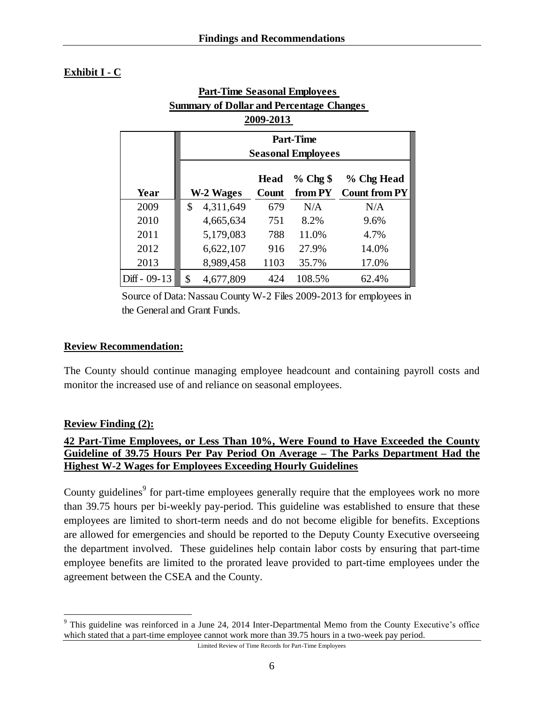#### **Exhibit I - C**

| Fait-Thile Seasonal Lindovees                                |                  |             |                           |                      |  |  |  |  |  |
|--------------------------------------------------------------|------------------|-------------|---------------------------|----------------------|--|--|--|--|--|
| <b>Summary of Dollar and Percentage Changes</b><br>2009-2013 |                  |             |                           |                      |  |  |  |  |  |
|                                                              |                  |             |                           |                      |  |  |  |  |  |
|                                                              | <b>Part-Time</b> |             |                           |                      |  |  |  |  |  |
|                                                              |                  |             | <b>Seasonal Employees</b> |                      |  |  |  |  |  |
|                                                              |                  | <b>Head</b> | $%$ Chg \$                | % Chg Head           |  |  |  |  |  |
| Year                                                         | W-2 Wages        | Count       | from PY                   | <b>Count from PY</b> |  |  |  |  |  |
| 2009                                                         | \$<br>4,311,649  | 679         | N/A                       | N/A                  |  |  |  |  |  |
| 2010                                                         | 4,665,634        | 751         | 8.2%                      | 9.6%                 |  |  |  |  |  |
| 2011                                                         | 5,179,083        | 788         | 11.0%                     | 4.7%                 |  |  |  |  |  |
| 2012                                                         | 6,622,107        | 916         | 27.9%                     | 14.0%                |  |  |  |  |  |
| 2013                                                         | 8,989,458        | 1103        | 35.7%                     | 17.0%                |  |  |  |  |  |
| $Diff - 09-13$                                               | \$<br>4,677,809  | 424         | 108.5%                    | 62.4%                |  |  |  |  |  |

# **Part-Time Seasonal Employees**

Source of Data: Nassau County W-2 Files 2009-2013 for employees in the General and Grant Funds.

#### **Review Recommendation:**

The County should continue managing employee headcount and containing payroll costs and monitor the increased use of and reliance on seasonal employees.

#### **Review Finding (2):**

 $\overline{a}$ 

#### <span id="page-10-0"></span>**42 Part-Time Employees, or Less Than 10%, Were Found to Have Exceeded the County Guideline of 39.75 Hours Per Pay Period On Average – The Parks Department Had the Highest W-2 Wages for Employees Exceeding Hourly Guidelines**

County guidelines<sup>9</sup> for part-time employees generally require that the employees work no more than 39.75 hours per bi-weekly pay-period. This guideline was established to ensure that these employees are limited to short-term needs and do not become eligible for benefits. Exceptions are allowed for emergencies and should be reported to the Deputy County Executive overseeing the department involved. These guidelines help contain labor costs by ensuring that part-time employee benefits are limited to the prorated leave provided to part-time employees under the agreement between the CSEA and the County.

<sup>&</sup>lt;sup>9</sup> This guideline was reinforced in a June 24, 2014 Inter-Departmental Memo from the County Executive's office which stated that a part-time employee cannot work more than 39.75 hours in a two-week pay period.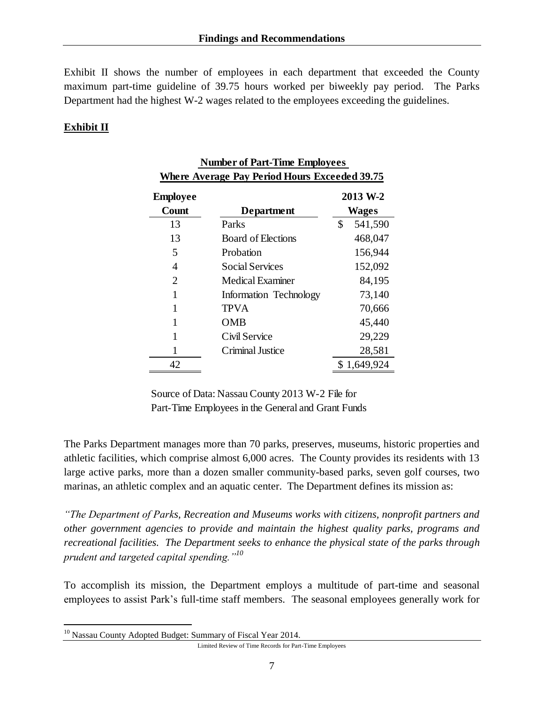Exhibit II shows the number of employees in each department that exceeded the County maximum part-time guideline of 39.75 hours worked per biweekly pay period. The Parks Department had the highest W-2 wages related to the employees exceeding the guidelines.

 **Number of Part-Time Employees** 

#### **Exhibit II**

| <b>Where Average Pay Period Hours Exceeded 39.75</b> |                           |    |                   |  |  |  |  |
|------------------------------------------------------|---------------------------|----|-------------------|--|--|--|--|
| <b>Employee</b><br>Count                             | Department                |    | 2013 W-2<br>Wages |  |  |  |  |
| 13                                                   | Parks                     | \$ | 541,590           |  |  |  |  |
| 13                                                   | <b>Board of Elections</b> |    | 468,047           |  |  |  |  |
| 5                                                    | Probation                 |    | 156,944           |  |  |  |  |
| 4                                                    | <b>Social Services</b>    |    | 152,092           |  |  |  |  |
| 2                                                    | Medical Examiner          |    | 84,195            |  |  |  |  |
| 1                                                    | Information Technology    |    | 73,140            |  |  |  |  |
| 1                                                    | <b>TPVA</b>               |    | 70,666            |  |  |  |  |
| 1                                                    | OMB                       |    | 45,440            |  |  |  |  |
| 1                                                    | Civil Service             |    | 29,229            |  |  |  |  |
|                                                      | Criminal Justice          |    | 28,581            |  |  |  |  |
| 42                                                   |                           |    | \$1,649,924       |  |  |  |  |

# Source of Data: Nassau County 2013 W-2 File for Part-Time Employees in the General and Grant Funds

The Parks Department manages more than 70 parks, preserves, museums, historic properties and athletic facilities, which comprise almost 6,000 acres. The County provides its residents with 13 large active parks, more than a dozen smaller community-based parks, seven golf courses, two marinas, an athletic complex and an aquatic center. The Department defines its mission as:

*"The Department of Parks, Recreation and Museums works with citizens, nonprofit partners and other government agencies to provide and maintain the highest quality parks, programs and recreational facilities. The Department seeks to enhance the physical state of the parks through prudent and targeted capital spending."<sup>10</sup>*

To accomplish its mission, the Department employs a multitude of part-time and seasonal employees to assist Park's full-time staff members. The seasonal employees generally work for

 $\overline{a}$ 

<sup>&</sup>lt;sup>10</sup> Nassau County Adopted Budget: Summary of Fiscal Year 2014.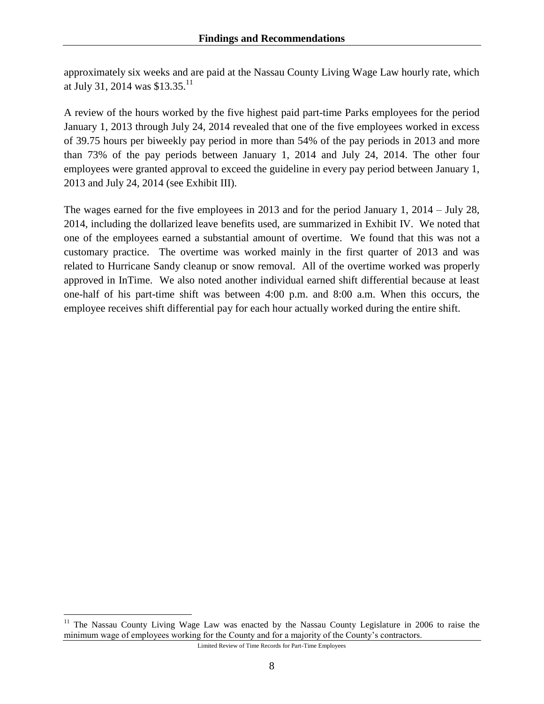approximately six weeks and are paid at the Nassau County Living Wage Law hourly rate, which at July 31, 2014 was  $$13.35$ <sup>11</sup>

A review of the hours worked by the five highest paid part-time Parks employees for the period January 1, 2013 through July 24, 2014 revealed that one of the five employees worked in excess of 39.75 hours per biweekly pay period in more than 54% of the pay periods in 2013 and more than 73% of the pay periods between January 1, 2014 and July 24, 2014. The other four employees were granted approval to exceed the guideline in every pay period between January 1, 2013 and July 24, 2014 (see Exhibit III).

The wages earned for the five employees in 2013 and for the period January 1, 2014 – July 28, 2014, including the dollarized leave benefits used, are summarized in Exhibit IV. We noted that one of the employees earned a substantial amount of overtime. We found that this was not a customary practice. The overtime was worked mainly in the first quarter of 2013 and was related to Hurricane Sandy cleanup or snow removal. All of the overtime worked was properly approved in InTime. We also noted another individual earned shift differential because at least one-half of his part-time shift was between 4:00 p.m. and 8:00 a.m. When this occurs, the employee receives shift differential pay for each hour actually worked during the entire shift.

 $\overline{a}$ 

<sup>&</sup>lt;sup>11</sup> The Nassau County Living Wage Law was enacted by the Nassau County Legislature in 2006 to raise the minimum wage of employees working for the County and for a majority of the County's contractors.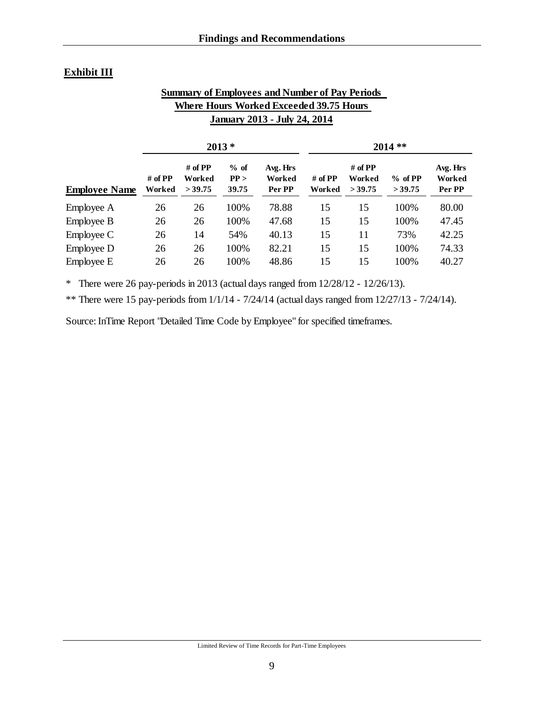#### **Exhibit III**

#### **Summary of Employees and Number of Pay Periods Where Hours Worked Exceeded 39.75 Hours January 2013 - July 24, 2014**

|                      | $2013*$                 |                                    |                         |                              |                         | $2014$ **                          |                     |                              |  |
|----------------------|-------------------------|------------------------------------|-------------------------|------------------------------|-------------------------|------------------------------------|---------------------|------------------------------|--|
| <b>Employee Name</b> | # of $\bf PP$<br>Worked | # of $\bf PP$<br>Worked<br>> 39.75 | $%$ of<br>PP ><br>39.75 | Avg. Hrs<br>Worked<br>Per PP | # of $\bf PP$<br>Worked | # of $\bf PP$<br>Worked<br>> 39.75 | $%$ of PP<br>>39.75 | Avg. Hrs<br>Worked<br>Per PP |  |
| Employee A           | 26                      | 26                                 | 100%                    | 78.88                        | 15                      | 15                                 | 100%                | 80.00                        |  |
| Employee B           | 26                      | 26                                 | 100%                    | 47.68                        | 15                      | 15                                 | 100%                | 47.45                        |  |
| Employee C           | 26                      | 14                                 | 54%                     | 40.13                        | 15                      | 11                                 | 73%                 | 42.25                        |  |
| Employee D           | 26                      | 26                                 | 100%                    | 82.21                        | 15                      | 15                                 | 100%                | 74.33                        |  |
| Employee E           | 26                      | 26                                 | 100%                    | 48.86                        | 15                      | 15                                 | 100%                | 40.27                        |  |

\* There were 26 pay-periods in 2013 (actual days ranged from 12/28/12 - 12/26/13).

\*\* There were 15 pay-periods from  $1/1/14 - 7/24/14$  (actual days ranged from  $12/27/13 - 7/24/14$ ).

Source: InTime Report "Detailed Time Code by Employee" for specified timeframes.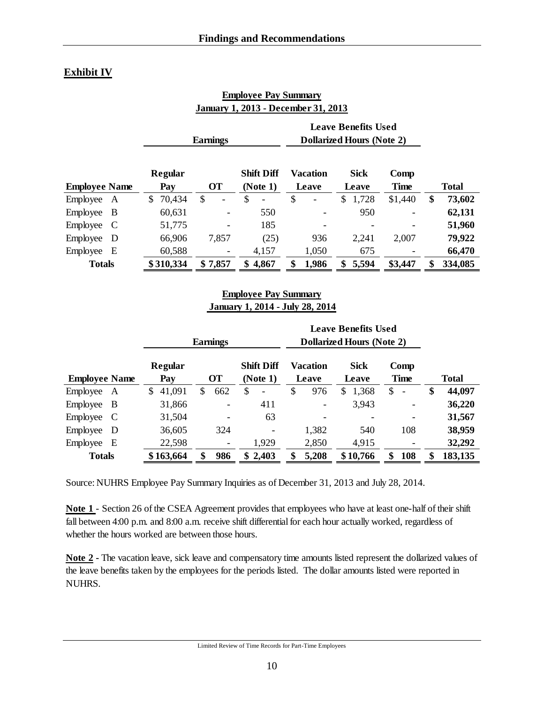#### **Exhibit IV**

|                      |                | <b>Earnings</b> |                                    | <b>Leave Benefits Used</b><br><b>Dollarized Hours (Note 2)</b> |                      |                     |               |
|----------------------|----------------|-----------------|------------------------------------|----------------------------------------------------------------|----------------------|---------------------|---------------|
| <b>Employee Name</b> | Regular<br>Pay | <b>OT</b>       | <b>Shift Diff</b><br>(Note 1)      | <b>Vacation</b><br>Leave                                       | <b>Sick</b><br>Leave | Comp<br><b>Time</b> | <b>Total</b>  |
| Employee<br>A        | 70,434<br>S.   | \$              | \$<br>$\qquad \qquad \blacksquare$ | \$                                                             | 1,728<br>\$          | \$1,440             | \$<br>73,602  |
| B<br>Employee        | 60,631         |                 | 550                                |                                                                | 950                  |                     | 62,131        |
| Employee<br>C        | 51,775         |                 | 185                                |                                                                |                      |                     | 51,960        |
| Employee<br>D        | 66,906         | 7,857           | (25)                               | 936                                                            | 2,241                | 2,007               | 79,922        |
| Employee<br>Е        | 60,588         |                 | 4,157                              | 1,050                                                          | 675                  |                     | 66,470        |
| <b>Totals</b>        | \$310,334      | \$7,857         | \$4,867                            | 1,986                                                          | 5,594<br>\$          | \$3,447             | \$<br>334,085 |

#### **Employee Pay Summary January 1, 2013 - December 31, 2013**

#### **Employee Pay Summary January 1, 2014 - July 28, 2014**

|                          |                | <b>Leave Benefits Used</b>   |                                |                   |                                  |                                |               |  |
|--------------------------|----------------|------------------------------|--------------------------------|-------------------|----------------------------------|--------------------------------|---------------|--|
|                          |                | <b>Earnings</b>              |                                |                   | <b>Dollarized Hours (Note 2)</b> |                                |               |  |
| <b>Employee Name</b>     | Regular<br>Pay | <b>OT</b>                    | <b>Shift Diff</b><br>(Note 1)  | Vacation<br>Leave | <b>Sick</b><br>Leave             | Comp<br><b>Time</b>            | <b>Total</b>  |  |
| Employee<br>A            | 41,091<br>\$   | 662<br>S                     | \$<br>$\overline{\phantom{a}}$ | \$<br>976         | 1,368<br>\$                      | \$<br>$\overline{\phantom{0}}$ | \$<br>44,097  |  |
| Employee B               | 31,866         | $\overline{\phantom{a}}$     | 411                            |                   | 3,943                            |                                | 36,220        |  |
| Employee<br>C            | 31,504         | $\qquad \qquad \blacksquare$ | 63                             |                   |                                  |                                | 31,567        |  |
| Employee<br>$\mathbf{D}$ | 36,605         | 324                          | $\overline{\phantom{a}}$       | 1,382             | 540                              | 108                            | 38,959        |  |
| Employee<br>E            | 22,598         | $\overline{\phantom{a}}$     | 1,929                          | 2,850             | 4,915                            |                                | 32,292        |  |
| <b>Totals</b>            | \$163,664      | 986<br>\$                    | \$2,403                        | 5,208<br>\$       | \$10,766                         | 108<br>\$                      | 183,135<br>\$ |  |

Source: NUHRS Employee Pay Summary Inquiries as of December 31, 2013 and July 28, 2014.

**Note 1** - Section 26 of the CSEA Agreement provides that employees who have at least one-half of their shift fall between 4:00 p.m. and 8:00 a.m. receive shift differential for each hour actually worked, regardless of whether the hours worked are between those hours.

**Note 2 -** The vacation leave, sick leave and compensatory time amounts listed represent the dollarized values of the leave benefits taken by the employees for the periods listed. The dollar amounts listed were reported in NUHRS.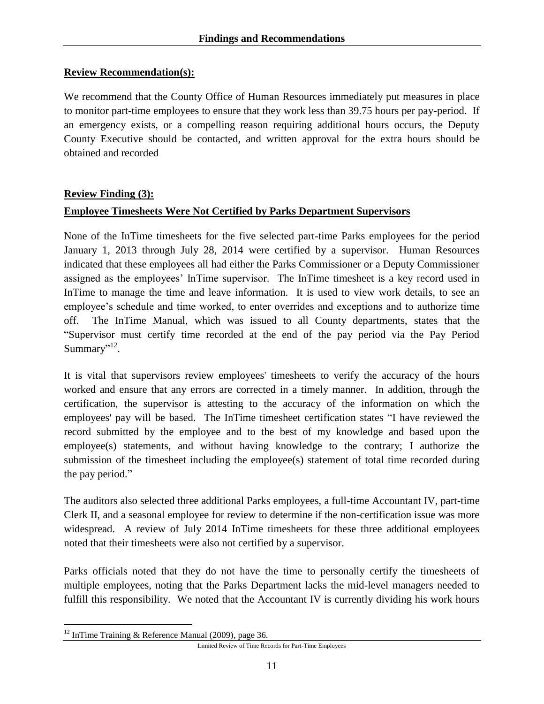#### **Review Recommendation(s):**

We recommend that the County Office of Human Resources immediately put measures in place to monitor part-time employees to ensure that they work less than 39.75 hours per pay-period. If an emergency exists, or a compelling reason requiring additional hours occurs, the Deputy County Executive should be contacted, and written approval for the extra hours should be obtained and recorded

#### **Review Finding (3):**

#### <span id="page-15-0"></span>**Employee Timesheets Were Not Certified by Parks Department Supervisors**

None of the InTime timesheets for the five selected part-time Parks employees for the period January 1, 2013 through July 28, 2014 were certified by a supervisor. Human Resources indicated that these employees all had either the Parks Commissioner or a Deputy Commissioner assigned as the employees' InTime supervisor. The InTime timesheet is a key record used in InTime to manage the time and leave information. It is used to view work details, to see an employee's schedule and time worked, to enter overrides and exceptions and to authorize time off. The InTime Manual, which was issued to all County departments, states that the "Supervisor must certify time recorded at the end of the pay period via the Pay Period Summary"<sup>12</sup>.

It is vital that supervisors review employees' timesheets to verify the accuracy of the hours worked and ensure that any errors are corrected in a timely manner. In addition, through the certification, the supervisor is attesting to the accuracy of the information on which the employees' pay will be based. The InTime timesheet certification states "I have reviewed the record submitted by the employee and to the best of my knowledge and based upon the employee(s) statements, and without having knowledge to the contrary; I authorize the submission of the timesheet including the employee(s) statement of total time recorded during the pay period."

The auditors also selected three additional Parks employees, a full-time Accountant IV, part-time Clerk II, and a seasonal employee for review to determine if the non-certification issue was more widespread. A review of July 2014 InTime timesheets for these three additional employees noted that their timesheets were also not certified by a supervisor.

Parks officials noted that they do not have the time to personally certify the timesheets of multiple employees, noting that the Parks Department lacks the mid-level managers needed to fulfill this responsibility. We noted that the Accountant IV is currently dividing his work hours

 $\overline{a}$  $12$  InTime Training & Reference Manual (2009), page 36.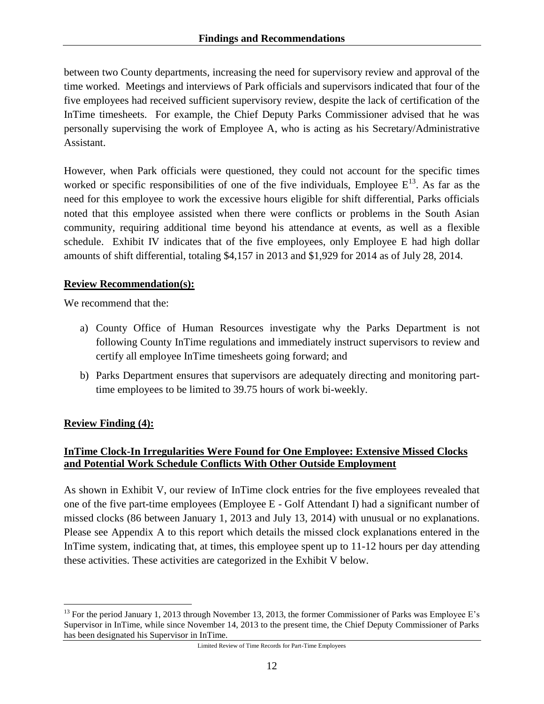between two County departments, increasing the need for supervisory review and approval of the time worked. Meetings and interviews of Park officials and supervisors indicated that four of the five employees had received sufficient supervisory review, despite the lack of certification of the InTime timesheets. For example, the Chief Deputy Parks Commissioner advised that he was personally supervising the work of Employee A, who is acting as his Secretary/Administrative Assistant.

However, when Park officials were questioned, they could not account for the specific times worked or specific responsibilities of one of the five individuals, Employee  $E^{13}$ . As far as the need for this employee to work the excessive hours eligible for shift differential, Parks officials noted that this employee assisted when there were conflicts or problems in the South Asian community, requiring additional time beyond his attendance at events, as well as a flexible schedule. Exhibit IV indicates that of the five employees, only Employee E had high dollar amounts of shift differential, totaling \$4,157 in 2013 and \$1,929 for 2014 as of July 28, 2014.

#### **Review Recommendation(s):**

We recommend that the:

- a) County Office of Human Resources investigate why the Parks Department is not following County InTime regulations and immediately instruct supervisors to review and certify all employee InTime timesheets going forward; and
- b) Parks Department ensures that supervisors are adequately directing and monitoring parttime employees to be limited to 39.75 hours of work bi-weekly.

#### **Review Finding (4):**

#### <span id="page-16-0"></span>**InTime Clock-In Irregularities Were Found for One Employee: Extensive Missed Clocks and Potential Work Schedule Conflicts With Other Outside Employment**

As shown in Exhibit V, our review of InTime clock entries for the five employees revealed that one of the five part-time employees (Employee  $E$  - Golf Attendant I) had a significant number of missed clocks (86 between January 1, 2013 and July 13, 2014) with unusual or no explanations. Please see Appendix A to this report which details the missed clock explanations entered in the InTime system, indicating that, at times, this employee spent up to 11-12 hours per day attending these activities. These activities are categorized in the Exhibit V below.

 $\overline{a}$ <sup>13</sup> For the period January 1, 2013 through November 13, 2013, the former Commissioner of Parks was Employee E's Supervisor in InTime, while since November 14, 2013 to the present time, the Chief Deputy Commissioner of Parks has been designated his Supervisor in InTime.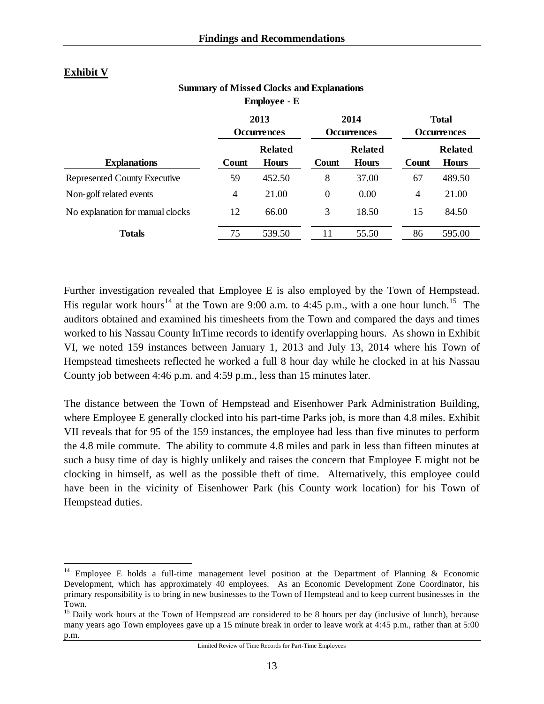#### **Exhibit V**

 $\overline{a}$ 

| <b>Summary of Missed Clocks and Explanations</b> |
|--------------------------------------------------|
| <b>Employee - E</b>                              |

|                                  |       | 2013<br><b>Occurrences</b>     |                | 2014<br><b>Occurrences</b>     | <b>Total</b><br><b>Occurrences</b> |                                |
|----------------------------------|-------|--------------------------------|----------------|--------------------------------|------------------------------------|--------------------------------|
| <b>Explanations</b>              | Count | <b>Related</b><br><b>Hours</b> | Count          | <b>Related</b><br><b>Hours</b> | Count                              | <b>Related</b><br><b>Hours</b> |
| Represented County Executive     | 59    | 452.50                         | 8              | 37.00                          | 67                                 | 489.50                         |
| Non-golf related events          | 4     | 21.00                          | $\overline{0}$ | 0.00                           | 4                                  | 21.00                          |
| No explanation for manual clocks | 12    | 66.00                          | 3              | 18.50                          | 15                                 | 84.50                          |
| <b>Totals</b>                    | 75    | 539.50                         | 11             | 55.50                          | 86                                 | 595.00                         |

Further investigation revealed that Employee E is also employed by the Town of Hempstead. His regular work hours<sup>14</sup> at the Town are 9:00 a.m. to 4:45 p.m., with a one hour lunch.<sup>15</sup> The auditors obtained and examined his timesheets from the Town and compared the days and times worked to his Nassau County InTime records to identify overlapping hours. As shown in Exhibit VI, we noted 159 instances between January 1, 2013 and July 13, 2014 where his Town of Hempstead timesheets reflected he worked a full 8 hour day while he clocked in at his Nassau County job between 4:46 p.m. and 4:59 p.m., less than 15 minutes later.

The distance between the Town of Hempstead and Eisenhower Park Administration Building, where Employee E generally clocked into his part-time Parks job, is more than 4.8 miles. Exhibit VII reveals that for 95 of the 159 instances, the employee had less than five minutes to perform the 4.8 mile commute. The ability to commute 4.8 miles and park in less than fifteen minutes at such a busy time of day is highly unlikely and raises the concern that Employee E might not be clocking in himself, as well as the possible theft of time. Alternatively, this employee could have been in the vicinity of Eisenhower Park (his County work location) for his Town of Hempstead duties.

<sup>&</sup>lt;sup>14</sup> Employee E holds a full-time management level position at the Department of Planning & Economic Development, which has approximately 40 employees. As an Economic Development Zone Coordinator, his primary responsibility is to bring in new businesses to the Town of Hempstead and to keep current businesses in the Town.

<sup>&</sup>lt;sup>15</sup> Daily work hours at the Town of Hempstead are considered to be 8 hours per day (inclusive of lunch), because many years ago Town employees gave up a 15 minute break in order to leave work at 4:45 p.m., rather than at 5:00 p.m.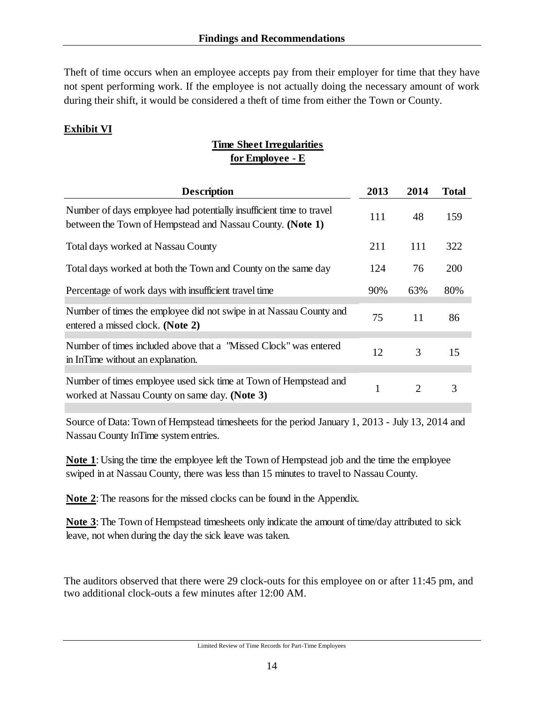Theft of time occurs when an employee accepts pay from their employer for time that they have not spent performing work. If the employee is not actually doing the necessary amount of work during their shift, it would be considered a theft of time from either the Town or County.

#### **Exhibit VI**

# **Time Sheet Irregularities for Employee - E**

| 2013 | 2014                  | <b>Total</b> |
|------|-----------------------|--------------|
| 111  | 48                    | 159          |
| 211  | 111                   | 322          |
| 124  | 76                    | 200          |
| 90%  | 63%                   | 80%          |
| 75   | 11                    | 86           |
| 12   | 3                     | 15           |
| 1    | $\mathcal{D}_{\cdot}$ | 3            |
|      |                       |              |

Source of Data: Town of Hempstead timesheets for the period January 1, 2013 - July 13, 2014 and Nassau County InTime system entries.

**Note 1**: Using the time the employee left the Town of Hempstead job and the time the employee swiped in at Nassau County, there was less than 15 minutes to travel to Nassau County.

**Note 2**: The reasons for the missed clocks can be found in the Appendix.

**Note 3**: The Town of Hempstead timesheets only indicate the amount of time/day attributed to sick leave, not when during the day the sick leave was taken.

The auditors observed that there were 29 clock-outs for this employee on or after 11:45 pm, and two additional clock-outs a few minutes after 12:00 AM.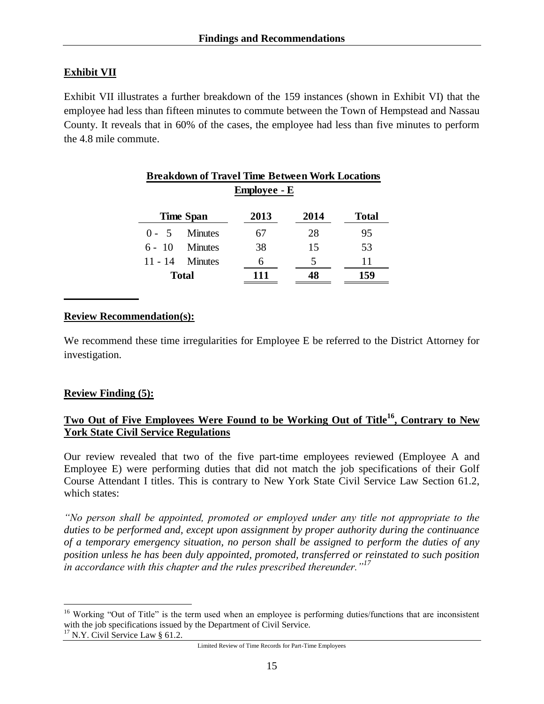#### **Exhibit VII**

Exhibit VII illustrates a further breakdown of the 159 instances (shown in Exhibit VI) that the employee had less than fifteen minutes to commute between the Town of Hempstead and Nassau County. It reveals that in 60% of the cases, the employee had less than five minutes to perform the 4.8 mile commute.

|         | <b>Breakdown of Travel Time Between Work Locations</b> |      |      |              |  |
|---------|--------------------------------------------------------|------|------|--------------|--|
|         | <b>Employee - E</b>                                    |      |      |              |  |
|         | <b>Time Span</b>                                       | 2013 | 2014 | <b>Total</b> |  |
| $0 - 5$ | Minutes                                                | 67   | 28   | 95           |  |
|         | $6 - 10$ Minutes                                       | 38   | 15   | 53           |  |
|         | $11 - 14$ Minutes                                      | 6    | 5    | 11           |  |
|         | <b>Total</b>                                           | 111  | 48   | 159          |  |

#### **Review Recommendation(s):**

We recommend these time irregularities for Employee E be referred to the District Attorney for investigation.

#### **Review Finding (5):**

 $\overline{a}$ 

#### <span id="page-19-0"></span>**Two Out of Five Employees Were Found to be Working Out of Title<sup>16</sup>, Contrary to New York State Civil Service Regulations**

Our review revealed that two of the five part-time employees reviewed (Employee A and Employee E) were performing duties that did not match the job specifications of their Golf Course Attendant I titles. This is contrary to New York State Civil Service Law Section 61.2, which states:

*"No person shall be appointed, promoted or employed under any title not appropriate to the duties to be performed and, except upon assignment by proper authority during the continuance of a temporary emergency situation, no person shall be assigned to perform the duties of any position unless he has been duly appointed, promoted, transferred or reinstated to such position in accordance with this chapter and the rules prescribed thereunder."<sup>17</sup>*

<sup>&</sup>lt;sup>16</sup> Working "Out of Title" is the term used when an employee is performing duties/functions that are inconsistent with the job specifications issued by the Department of Civil Service.  $17$  N.Y. Civil Service Law § 61.2.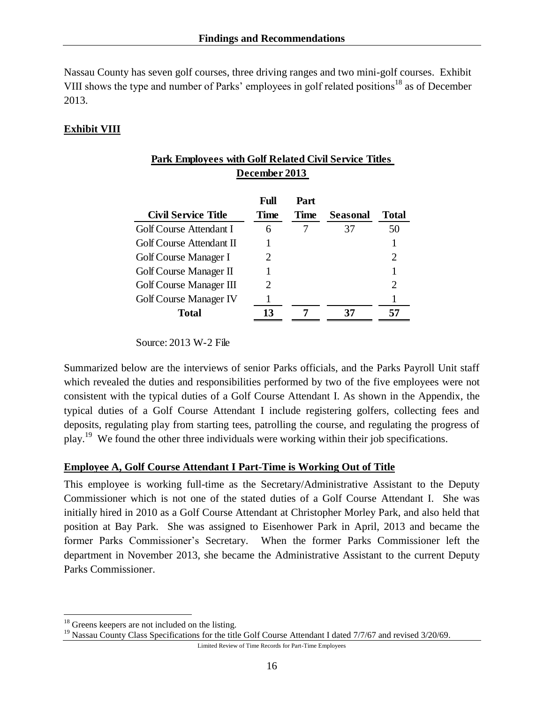Nassau County has seven golf courses, three driving ranges and two mini-golf courses. Exhibit VIII shows the type and number of Parks' employees in golf related positions<sup>18</sup> as of December 2013.

#### **Exhibit VIII**

| <b>Park Employees with Golf Related Civil Service Titles</b> |                             |              |          |       |  |
|--------------------------------------------------------------|-----------------------------|--------------|----------|-------|--|
| December 2013                                                |                             |              |          |       |  |
| <b>Civil Service Title</b>                                   | Full<br><b>Time</b>         | Part<br>Time | Seasonal | Total |  |
| Golf Course Attendant I                                      | 6                           |              | 37       | 50    |  |
| Golf Course Attendant II                                     |                             |              |          |       |  |
| Golf Course Manager I                                        | $\mathcal{D}_{\mathcal{L}}$ |              |          | 2     |  |
| Golf Course Manager II                                       |                             |              |          | 1     |  |
| Golf Course Manager III                                      | 2                           |              |          | 2     |  |
| <b>Golf Course Manager IV</b>                                |                             |              |          |       |  |
| Total                                                        | 13                          |              | 37       | 57    |  |

Source: 2013 W-2 File

Summarized below are the interviews of senior Parks officials, and the Parks Payroll Unit staff which revealed the duties and responsibilities performed by two of the five employees were not consistent with the typical duties of a Golf Course Attendant I. As shown in the Appendix, the typical duties of a Golf Course Attendant I include registering golfers, collecting fees and deposits, regulating play from starting tees, patrolling the course, and regulating the progress of play.<sup>19</sup> We found the other three individuals were working within their job specifications.

#### **Employee A, Golf Course Attendant I Part-Time is Working Out of Title**

This employee is working full-time as the Secretary/Administrative Assistant to the Deputy Commissioner which is not one of the stated duties of a Golf Course Attendant I. She was initially hired in 2010 as a Golf Course Attendant at Christopher Morley Park, and also held that position at Bay Park. She was assigned to Eisenhower Park in April, 2013 and became the former Parks Commissioner's Secretary. When the former Parks Commissioner left the department in November 2013, she became the Administrative Assistant to the current Deputy Parks Commissioner.

 $\overline{a}$ 

<sup>&</sup>lt;sup>18</sup> Greens keepers are not included on the listing.

<sup>&</sup>lt;sup>19</sup> Nassau County Class Specifications for the title Golf Course Attendant I dated 7/7/67 and revised 3/20/69.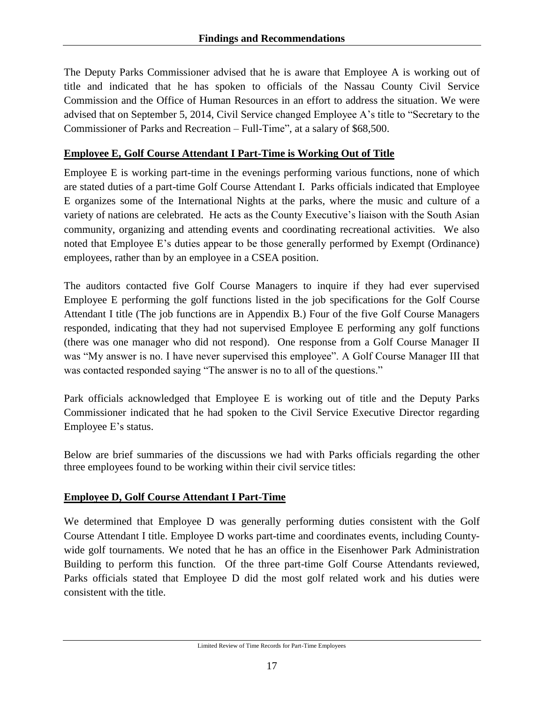The Deputy Parks Commissioner advised that he is aware that Employee A is working out of title and indicated that he has spoken to officials of the Nassau County Civil Service Commission and the Office of Human Resources in an effort to address the situation. We were advised that on September 5, 2014, Civil Service changed Employee A's title to "Secretary to the Commissioner of Parks and Recreation – Full-Time", at a salary of \$68,500.

#### **Employee E, Golf Course Attendant I Part-Time is Working Out of Title**

Employee E is working part-time in the evenings performing various functions, none of which are stated duties of a part-time Golf Course Attendant I. Parks officials indicated that Employee E organizes some of the International Nights at the parks, where the music and culture of a variety of nations are celebrated. He acts as the County Executive's liaison with the South Asian community, organizing and attending events and coordinating recreational activities. We also noted that Employee E's duties appear to be those generally performed by Exempt (Ordinance) employees, rather than by an employee in a CSEA position.

The auditors contacted five Golf Course Managers to inquire if they had ever supervised Employee E performing the golf functions listed in the job specifications for the Golf Course Attendant I title (The job functions are in Appendix B.) Four of the five Golf Course Managers responded, indicating that they had not supervised Employee E performing any golf functions (there was one manager who did not respond). One response from a Golf Course Manager II was "My answer is no. I have never supervised this employee". A Golf Course Manager III that was contacted responded saying "The answer is no to all of the questions."

Park officials acknowledged that Employee E is working out of title and the Deputy Parks Commissioner indicated that he had spoken to the Civil Service Executive Director regarding Employee E's status.

Below are brief summaries of the discussions we had with Parks officials regarding the other three employees found to be working within their civil service titles:

#### **Employee D, Golf Course Attendant I Part-Time**

We determined that Employee D was generally performing duties consistent with the Golf Course Attendant I title. Employee D works part-time and coordinates events, including Countywide golf tournaments. We noted that he has an office in the Eisenhower Park Administration Building to perform this function. Of the three part-time Golf Course Attendants reviewed, Parks officials stated that Employee D did the most golf related work and his duties were consistent with the title.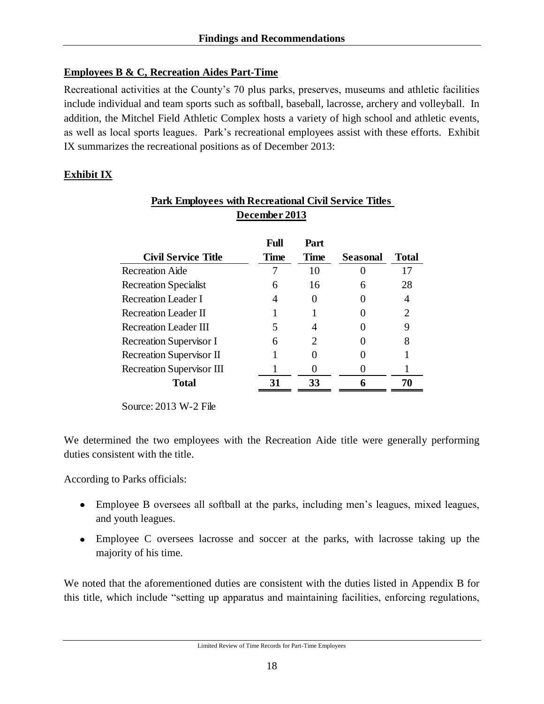#### **Employees B & C, Recreation Aides Part-Time**

Recreational activities at the County's 70 plus parks, preserves, museums and athletic facilities include individual and team sports such as softball, baseball, lacrosse, archery and volleyball. In addition, the Mitchel Field Athletic Complex hosts a variety of high school and athletic events, as well as local sports leagues. Park's recreational employees assist with these efforts. Exhibit IX summarizes the recreational positions as of December 2013:

#### **Exhibit IX**

| <b>Park Employees with Recreational Civil Service Titles</b> |                            |                     |                 |              |
|--------------------------------------------------------------|----------------------------|---------------------|-----------------|--------------|
|                                                              | December 2013              |                     |                 |              |
| <b>Civil Service Title</b>                                   | <b>Full</b><br><b>Time</b> | Part<br><b>Time</b> | <b>Seasonal</b> | <b>Total</b> |
| <b>Recreation Aide</b>                                       |                            | 10                  |                 | 17           |
| <b>Recreation Specialist</b>                                 | 6                          | 16                  | 6               | 28           |
| <b>Recreation Leader I</b>                                   | 4                          |                     |                 | 4            |
| <b>Recreation Leader II</b>                                  |                            |                     |                 |              |
| <b>Recreation Leader III</b>                                 | 5                          | 4                   |                 |              |
| <b>Recreation Supervisor I</b>                               | 6                          | 2                   |                 |              |
| <b>Recreation Supervisor II</b>                              |                            |                     |                 |              |
| <b>Recreation Supervisor III</b>                             |                            |                     |                 |              |
| <b>Total</b>                                                 | 31                         | 33                  | 6               | 70           |

Source: 2013 W-2 File

We determined the two employees with the Recreation Aide title were generally performing duties consistent with the title.

According to Parks officials:

- Employee B oversees all softball at the parks, including men's leagues, mixed leagues, and youth leagues.
- Employee C oversees lacrosse and soccer at the parks, with lacrosse taking up the majority of his time.

We noted that the aforementioned duties are consistent with the duties listed in Appendix B for this title, which include "setting up apparatus and maintaining facilities, enforcing regulations,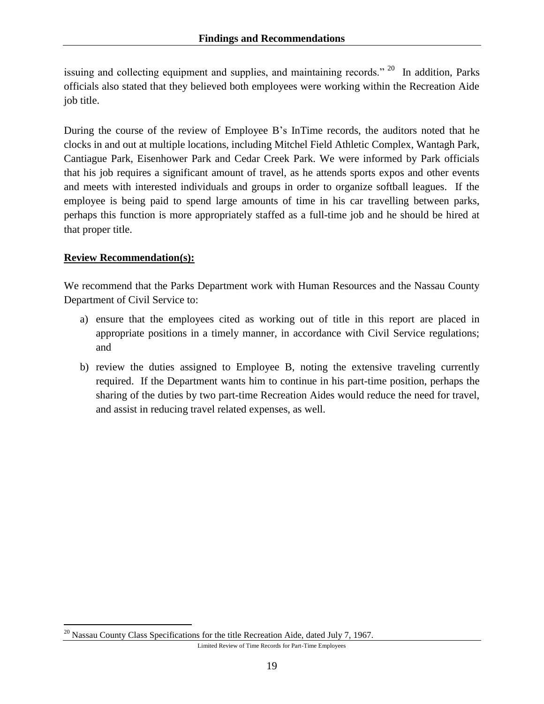issuing and collecting equipment and supplies, and maintaining records." <sup>20</sup> In addition, Parks officials also stated that they believed both employees were working within the Recreation Aide job title.

During the course of the review of Employee B's InTime records, the auditors noted that he clocks in and out at multiple locations, including Mitchel Field Athletic Complex, Wantagh Park, Cantiague Park, Eisenhower Park and Cedar Creek Park. We were informed by Park officials that his job requires a significant amount of travel, as he attends sports expos and other events and meets with interested individuals and groups in order to organize softball leagues. If the employee is being paid to spend large amounts of time in his car travelling between parks, perhaps this function is more appropriately staffed as a full-time job and he should be hired at that proper title.

#### **Review Recommendation(s):**

 $\overline{a}$ 

We recommend that the Parks Department work with Human Resources and the Nassau County Department of Civil Service to:

- a) ensure that the employees cited as working out of title in this report are placed in appropriate positions in a timely manner, in accordance with Civil Service regulations; and
- b) review the duties assigned to Employee B, noting the extensive traveling currently required. If the Department wants him to continue in his part-time position, perhaps the sharing of the duties by two part-time Recreation Aides would reduce the need for travel, and assist in reducing travel related expenses, as well.

 $20$  Nassau County Class Specifications for the title Recreation Aide, dated July 7, 1967.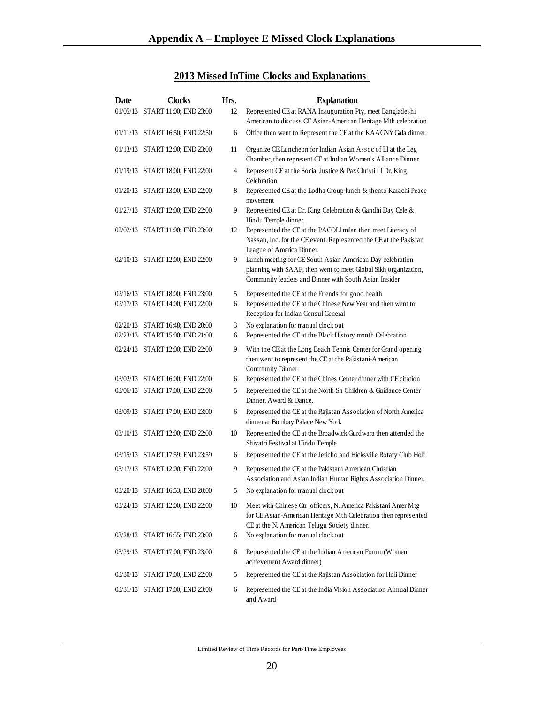# **2013 Missed InTime Clocks and Explanations**

<span id="page-24-0"></span>

| Date | <b>Clocks</b>                   | Hrs. | <b>Explanation</b>                                                                                                                                                                    |
|------|---------------------------------|------|---------------------------------------------------------------------------------------------------------------------------------------------------------------------------------------|
|      | 01/05/13 START 11:00; END 23:00 | 12   | Represented CE at RANA Inauguration Pty, meet Bangladeshi<br>American to discuss CE Asian-American Heritage Mth celebration                                                           |
|      | 01/11/13 START 16:50; END 22:50 | 6    | Office then went to Represent the CE at the KAAGNY Gala dinner.                                                                                                                       |
|      | 01/13/13 START 12:00; END 23:00 | 11   | Organize CE Luncheon for Indian Asian Assoc of LI at the Leg<br>Chamber, then represent CE at Indian Women's Alliance Dinner.                                                         |
|      | 01/19/13 START 18:00; END 22:00 | 4    | Represent CE at the Social Justice & Pax Christi LI Dr. King<br>Celebration                                                                                                           |
|      | 01/20/13 START 13:00; END 22:00 | 8    | Represented CE at the Lodha Group lunch & thento Karachi Peace<br>movement                                                                                                            |
|      | 01/27/13 START 12:00; END 22:00 | 9    | Represented CE at Dr. King Celebration & Gandhi Day Cele &<br>Hindu Temple dinner.                                                                                                    |
|      | 02/02/13 START 11:00; END 23:00 | 12   | Represented the CE at the PACOLI milan then meet Literacy of<br>Nassau, Inc. for the CE event. Represented the CE at the Pakistan<br>League of America Dinner.                        |
|      | 02/10/13 START 12:00; END 22:00 | 9    | Lunch meeting for CE South Asian-American Day celebration<br>planning with SAAF, then went to meet Global Sikh organization,<br>Community leaders and Dinner with South Asian Insider |
|      | 02/16/13 START 18:00; END 23:00 | 5    | Represented the CE at the Friends for good health                                                                                                                                     |
|      | 02/17/13 START 14:00; END 22:00 | 6    | Represented the CE at the Chinese New Year and then went to<br>Reception for Indian Consul General                                                                                    |
|      | 02/20/13 START 16:48; END 20:00 | 3    | No explanation for manual clock out                                                                                                                                                   |
|      | 02/23/13 START 15:00; END 21:00 | 6    | Represented the CE at the Black History month Celebration                                                                                                                             |
|      | 02/24/13 START 12:00; END 22:00 | 9    | With the CE at the Long Beach Tennis Center for Grand opening<br>then went to represent the CE at the Pakistani-American<br>Community Dinner.                                         |
|      | 03/02/13 START 16:00; END 22:00 | 6    | Represented the CE at the Chines Center dinner with CE citation                                                                                                                       |
|      | 03/06/13 START 17:00; END 22:00 | 5    | Represented the CE at the North Sh Children & Guidance Center<br>Dinner, Award & Dance.                                                                                               |
|      | 03/09/13 START 17:00; END 23:00 | 6    | Represented the CE at the Rajistan Association of North America<br>dinner at Bombay Palace New York                                                                                   |
|      | 03/10/13 START 12:00; END 22:00 | 10   | Represented the CE at the Broadwick Gurdwara then attended the<br>Shivatri Festival at Hindu Temple                                                                                   |
|      | 03/15/13 START 17:59; END 23:59 | 6    | Represented the CE at the Jericho and Hicksville Rotary Club Holi                                                                                                                     |
|      | 03/17/13 START 12:00; END 22:00 | 9    | Represented the CE at the Pakistani American Christian<br>Association and Asian Indian Human Rights Association Dinner.                                                               |
|      | 03/20/13 START 16:53; END 20:00 | 5    | No explanation for manual clock out                                                                                                                                                   |
|      | 03/24/13 START 12:00; END 22:00 | 10   | Meet with Chinese Ctr officers, N. America Pakistani Amer Mtg<br>for CE Asian-American Heritage Mth Celebration then represented<br>CE at the N. American Telugu Society dinner.      |
|      | 03/28/13 START 16:55; END 23:00 | 6    | No explanation for manual clock out                                                                                                                                                   |
|      | 03/29/13 START 17:00; END 23:00 | 6    | Represented the CE at the Indian American Forum (Women<br>achievement Award dinner)                                                                                                   |
|      | 03/30/13 START 17:00; END 22:00 | 5    | Represented the CE at the Rajistan Association for Holi Dinner                                                                                                                        |
|      | 03/31/13 START 17:00; END 23:00 | 6    | Represented the CE at the India Vision Association Annual Dinner<br>and Award                                                                                                         |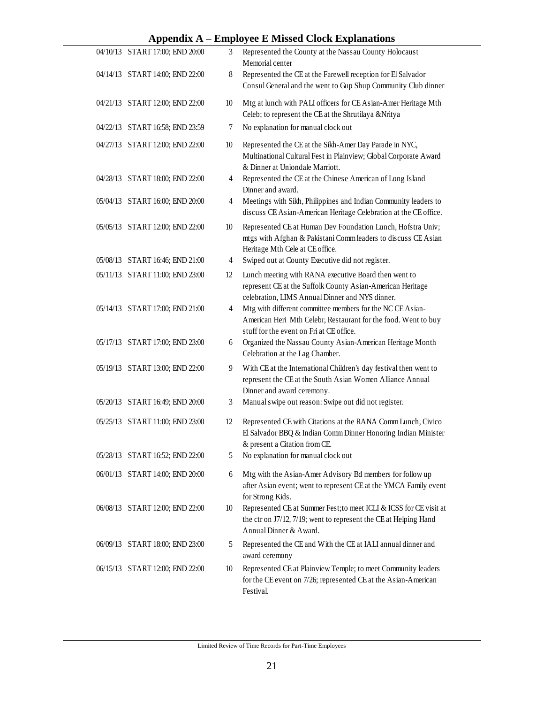#### **Appendix A – Employee E Missed Clock Explanations**

| 04/10/13 START 17:00; END 20:00 | 3  | Represented the County at the Nassau County Holocaust<br>Memorial center                                                                                                |
|---------------------------------|----|-------------------------------------------------------------------------------------------------------------------------------------------------------------------------|
| 04/14/13 START 14:00; END 22:00 | 8  | Represented the CE at the Farewell reception for El Salvador<br>Consul General and the went to Gup Shup Community Club dinner                                           |
| 04/21/13 START 12:00; END 22:00 | 10 | Mtg at lunch with PALI officers for CE Asian-Amer Heritage Mth<br>Celeb; to represent the CE at the Shrutilaya &Nritya                                                  |
| 04/22/13 START 16:58; END 23:59 | 7  | No explanation for manual clock out                                                                                                                                     |
| 04/27/13 START 12:00; END 22:00 | 10 | Represented the CE at the Sikh-Amer Day Parade in NYC,<br>Multinational Cultural Fest in Plainview; Global Corporate Award<br>& Dinner at Uniondale Marriott.           |
| 04/28/13 START 18:00; END 22:00 | 4  | Represented the CE at the Chinese American of Long Island<br>Dinner and award.                                                                                          |
| 05/04/13 START 16:00; END 20:00 | 4  | Meetings with Sikh, Philippines and Indian Community leaders to<br>discuss CE Asian-American Heritage Celebration at the CE office.                                     |
| 05/05/13 START 12:00; END 22:00 | 10 | Represented CE at Human Dev Foundation Lunch, Hofstra Univ;<br>mtgs with Afghan & Pakistani Comm leaders to discuss CE Asian<br>Heritage Mth Cele at CE office.         |
| 05/08/13 START 16:46; END 21:00 | 4  | Swiped out at County Executive did not register.                                                                                                                        |
| 05/11/13 START 11:00; END 23:00 | 12 | Lunch meeting with RANA executive Board then went to<br>represent CE at the Suffolk County Asian-American Heritage<br>celebration, LIMS Annual Dinner and NYS dinner.   |
| 05/14/13 START 17:00; END 21:00 | 4  | Mtg with different committee members for the NC CE Asian-<br>American Heri Mth Celebr, Restaurant for the food. Went to buy<br>stuff for the event on Fri at CE office. |
| 05/17/13 START 17:00; END 23:00 | 6  | Organized the Nassau County Asian-American Heritage Month<br>Celebration at the Lag Chamber.                                                                            |
| 05/19/13 START 13:00; END 22:00 | 9  | With CE at the International Children's day festival then went to<br>represent the CE at the South Asian Women Alliance Annual<br>Dinner and award ceremony.            |
| 05/20/13 START 16:49; END 20:00 | 3  | Manual swipe out reason: Swipe out did not register.                                                                                                                    |
| 05/25/13 START 11:00; END 23:00 | 12 | Represented CE with Citations at the RANA Comm Lunch, Civico<br>El Salvador BBQ & Indian Comm Dinner Honoring Indian Minister<br>& present a Citation from CE.          |
| 05/28/13 START 16:52; END 22:00 | 5  | No explanation for manual clock out                                                                                                                                     |
| 06/01/13 START 14:00; END 20:00 | 6  | Mtg with the Asian-Amer Advisory Bd members for follow up<br>after Asian event; went to represent CE at the YMCA Family event<br>for Strong Kids.                       |
| 06/08/13 START 12:00; END 22:00 | 10 | Represented CE at Summer Fest; to meet ICLI & ICSS for CE visit at<br>the ctr on J7/12, 7/19; went to represent the CE at Helping Hand<br>Annual Dinner & Award.        |
| 06/09/13 START 18:00; END 23:00 | 5  | Represented the CE and With the CE at IALI annual dinner and<br>award ceremony                                                                                          |
| 06/15/13 START 12:00; END 22:00 | 10 | Represented CE at Plainview Temple; to meet Community leaders<br>for the CE event on 7/26; represented CE at the Asian-American<br>Festival.                            |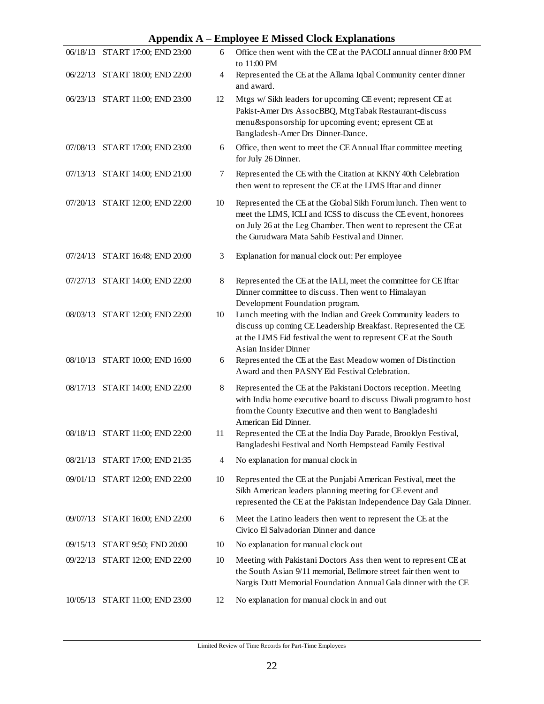|          | $\mathbf{A}$                    |    | етроусе в впозей стоек вхранацопо                                                                                                                                                                                                                     |
|----------|---------------------------------|----|-------------------------------------------------------------------------------------------------------------------------------------------------------------------------------------------------------------------------------------------------------|
|          | 06/18/13 START 17:00; END 23:00 | 6  | Office then went with the CE at the PACOLI annual dinner 8:00 PM<br>to 11:00 PM                                                                                                                                                                       |
|          | 06/22/13 START 18:00; END 22:00 | 4  | Represented the CE at the Allama Iqbal Community center dinner<br>and award.                                                                                                                                                                          |
|          | 06/23/13 START 11:00; END 23:00 | 12 | Mtgs w/ Sikh leaders for upcoming CE event; represent CE at<br>Pakist-Amer Drs AssocBBQ, MtgTabak Restaurant-discuss<br>menu&sponsorship for upcoming event; epresent CE at<br>Bangladesh-Amer Drs Dinner-Dance.                                      |
|          | 07/08/13 START 17:00; END 23:00 | 6  | Office, then went to meet the CE Annual Iftar committee meeting<br>for July 26 Dinner.                                                                                                                                                                |
|          | 07/13/13 START 14:00; END 21:00 | 7  | Represented the CE with the Citation at KKNY 40th Celebration<br>then went to represent the CE at the LIMS Iftar and dinner                                                                                                                           |
|          | 07/20/13 START 12:00; END 22:00 | 10 | Represented the CE at the Global Sikh Forum lunch. Then went to<br>meet the LIMS, ICLI and ICSS to discuss the CE event, honorees<br>on July 26 at the Leg Chamber. Then went to represent the CE at<br>the Gurudwara Mata Sahib Festival and Dinner. |
|          | 07/24/13 START 16:48; END 20:00 | 3  | Explanation for manual clock out: Per employee                                                                                                                                                                                                        |
|          | 07/27/13 START 14:00; END 22:00 | 8  | Represented the CE at the IALI, meet the committee for CE Iftar<br>Dinner committee to discuss. Then went to Himalayan<br>Development Foundation program.                                                                                             |
|          | 08/03/13 START 12:00; END 22:00 | 10 | Lunch meeting with the Indian and Greek Community leaders to<br>discuss up coming CE Leadership Breakfast. Represented the CE<br>at the LIMS Eid festival the went to represent CE at the South<br>Asian Insider Dinner                               |
|          | 08/10/13 START 10:00; END 16:00 | 6  | Represented the CE at the East Meadow women of Distinction<br>Award and then PASNY Eid Festival Celebration.                                                                                                                                          |
|          | 08/17/13 START 14:00; END 22:00 | 8  | Represented the CE at the Pakistani Doctors reception. Meeting<br>with India home executive board to discuss Diwali program to host<br>from the County Executive and then went to Bangladeshi<br>American Eid Dinner.                                 |
|          | 08/18/13 START 11:00; END 22:00 | 11 | Represented the CE at the India Day Parade, Brooklyn Festival,<br>Bangladeshi Festival and North Hempstead Family Festival                                                                                                                            |
| 08/21/13 | START 17:00; END 21:35          | 4  | No explanation for manual clock in                                                                                                                                                                                                                    |
|          | 09/01/13 START 12:00; END 22:00 | 10 | Represented the CE at the Punjabi American Festival, meet the<br>Sikh American leaders planning meeting for CE event and<br>represented the CE at the Pakistan Independence Day Gala Dinner.                                                          |
| 09/07/13 | START 16:00; END 22:00          | 6  | Meet the Latino leaders then went to represent the CE at the<br>Civico El Salvadorian Dinner and dance                                                                                                                                                |
|          | 09/15/13 START 9:50; END 20:00  | 10 | No explanation for manual clock out                                                                                                                                                                                                                   |
|          | 09/22/13 START 12:00; END 22:00 | 10 | Meeting with Pakistani Doctors Ass then went to represent CE at<br>the South Asian 9/11 memorial, Bellmore street fair then went to<br>Nargis Dutt Memorial Foundation Annual Gala dinner with the CE                                                 |
|          | 10/05/13 START 11:00; END 23:00 | 12 | No explanation for manual clock in and out                                                                                                                                                                                                            |

#### **Appendix A – Employee E Missed Clock Explanations**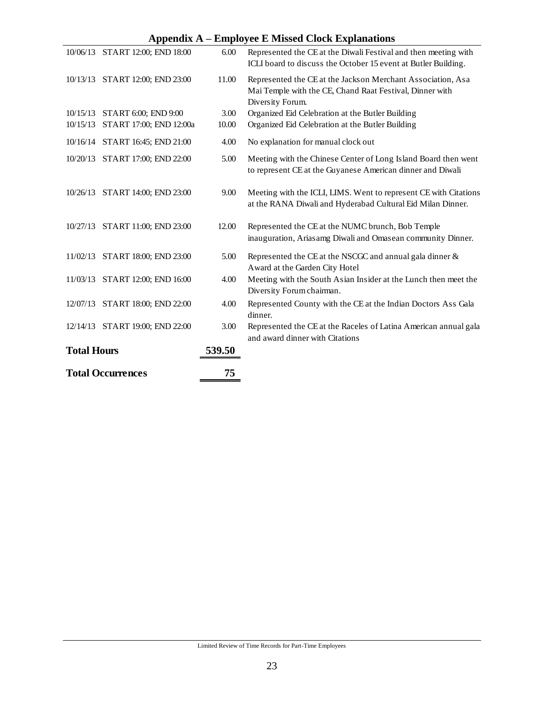### **Appendix A – Employee E Missed Clock Explanations**

|                    | $\bf{11}$ ppenura $\bf{12}$     |        | Епіргоусс із імівый стоск Ехрійнайона                                                                                                       |
|--------------------|---------------------------------|--------|---------------------------------------------------------------------------------------------------------------------------------------------|
|                    | 10/06/13 START 12:00; END 18:00 | 6.00   | Represented the CE at the Diwali Festival and then meeting with<br>ICLI board to discuss the October 15 event at Butler Building.           |
|                    | 10/13/13 START 12:00; END 23:00 | 11.00  | Represented the CE at the Jackson Merchant Association, Asa<br>Mai Temple with the CE, Chand Raat Festival, Dinner with<br>Diversity Forum. |
|                    | 10/15/13 START 6:00; END 9:00   | 3.00   | Organized Eid Celebration at the Butler Building                                                                                            |
| 10/15/13           | START 17:00; END 12:00a         | 10.00  | Organized Eid Celebration at the Butler Building                                                                                            |
|                    | 10/16/14 START 16:45; END 21:00 | 4.00   | No explanation for manual clock out                                                                                                         |
|                    | 10/20/13 START 17:00; END 22:00 | 5.00   | Meeting with the Chinese Center of Long Island Board then went<br>to represent CE at the Guyanese American dinner and Diwali                |
|                    | 10/26/13 START 14:00; END 23:00 | 9.00   | Meeting with the ICLI, LIMS. Went to represent CE with Citations<br>at the RANA Diwali and Hyderabad Cultural Eid Milan Dinner.             |
|                    | 10/27/13 START 11:00; END 23:00 | 12.00  | Represented the CE at the NUMC brunch, Bob Temple<br>inauguration, Ariasamg Diwali and Omasean community Dinner.                            |
|                    | 11/02/13 START 18:00; END 23:00 | 5.00   | Represented the CE at the NSCGC and annual gala dinner $\&$<br>Award at the Garden City Hotel                                               |
|                    | 11/03/13 START 12:00; END 16:00 | 4.00   | Meeting with the South Asian Insider at the Lunch then meet the<br>Diversity Forum chairman.                                                |
|                    | 12/07/13 START 18:00; END 22:00 | 4.00   | Represented County with the CE at the Indian Doctors Ass Gala<br>dinner.                                                                    |
|                    | 12/14/13 START 19:00; END 22:00 | 3.00   | Represented the CE at the Raceles of Latina American annual gala<br>and award dinner with Citations                                         |
| <b>Total Hours</b> |                                 | 539.50 |                                                                                                                                             |
|                    | <b>Total Occurrences</b>        | 75     |                                                                                                                                             |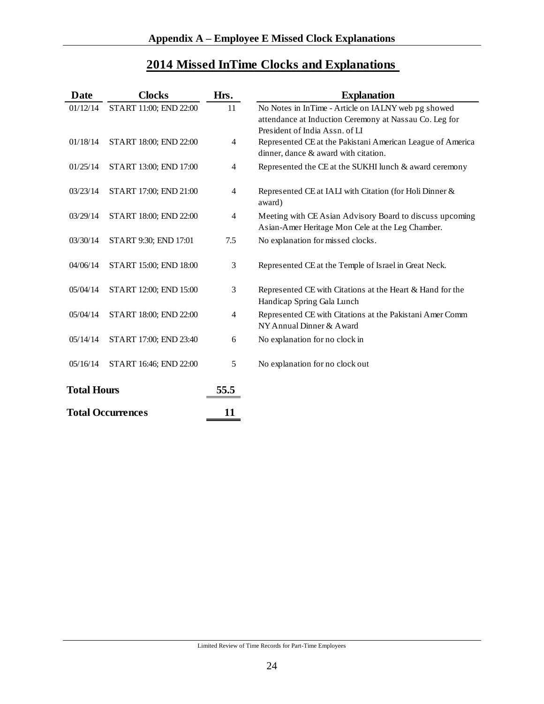# **2014 Missed InTime Clocks and Explanations**

| Date               | <b>Clocks</b>            | Hrs.           | <b>Explanation</b>                                                                                                                              |
|--------------------|--------------------------|----------------|-------------------------------------------------------------------------------------------------------------------------------------------------|
| 01/12/14           | START 11:00; END 22:00   | 11             | No Notes in InTime - Article on IALNY web pg showed<br>attendance at Induction Ceremony at Nassau Co. Leg for<br>President of India Assn. of LI |
| 01/18/14           | START 18:00; END 22:00   | 4              | Represented CE at the Pakistani American League of America<br>dinner, dance & award with citation.                                              |
| 01/25/14           | START 13:00; END 17:00   | 4              | Represented the CE at the SUKHI lunch & award ceremony                                                                                          |
| 03/23/14           | START 17:00; END 21:00   | 4              | Represented CE at IALI with Citation (for Holi Dinner &<br>award)                                                                               |
| 03/29/14           | START 18:00; END 22:00   | $\overline{4}$ | Meeting with CE Asian Advisory Board to discuss upcoming<br>Asian-Amer Heritage Mon Cele at the Leg Chamber.                                    |
| 03/30/14           | START 9:30; END 17:01    | 7.5            | No explanation for missed clocks.                                                                                                               |
| 04/06/14           | START 15:00; END 18:00   | 3              | Represented CE at the Temple of Israel in Great Neck.                                                                                           |
| 05/04/14           | START 12:00; END 15:00   | 3              | Represented CE with Citations at the Heart & Hand for the<br>Handicap Spring Gala Lunch                                                         |
| 05/04/14           | START 18:00; END 22:00   | 4              | Represented CE with Citations at the Pakistani Amer Comm<br>NY Annual Dinner & Award                                                            |
| 05/14/14           | START 17:00; END 23:40   | 6              | No explanation for no clock in                                                                                                                  |
| 05/16/14           | START 16:46; END 22:00   | 5              | No explanation for no clock out                                                                                                                 |
| <b>Total Hours</b> |                          | 55.5           |                                                                                                                                                 |
|                    | <b>Total Occurrences</b> |                |                                                                                                                                                 |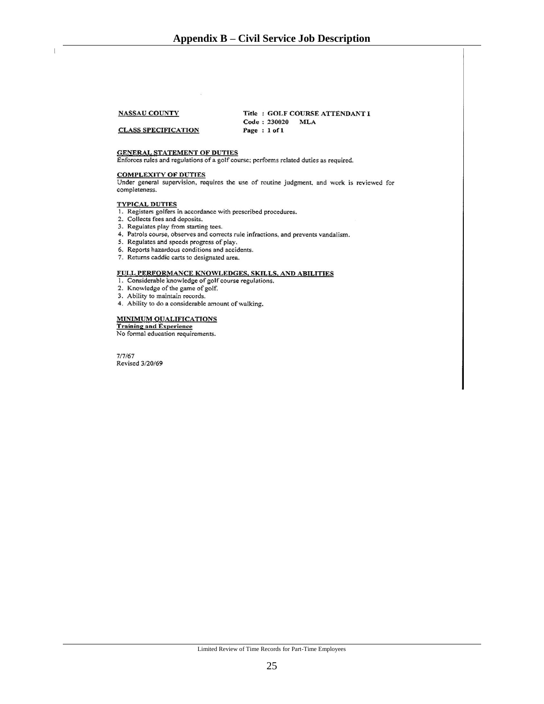#### **NASSAU COUNTY**

**CLASS SPECIFICATION** 

Title: GOLF COURSE ATTENDANT I Code: 230020 MLA Page: 1 of 1

#### **GENERAL STATEMENT OF DUTIES**

Enforces rules and regulations of a golf course; performs related duties as required.

COMPLEXITY OF DUTIES<br>Under general supervision, requires the use of routine judgment, and work is reviewed for completeness.

#### **TYPICAL DUTIES**

- 1. Registers golfers in accordance with prescribed procedures.
- 2. Collects fees and deposits.
- 3. Regulates play from starting tees.
- 4. Patrols course, observes and corrects rule infractions, and prevents vandalism.
- 5. Regulates and speeds progress of play.
- 6. Reports hazardous conditions and accidents.
- 7. Returns caddic carts to designated area.

#### FULL PERFORMANCE KNOWLEDGES, SKILLS, AND ABILITIES

- 1. Considerable knowledge of golf course regulations.
- 2. Knowledge of the game of golf.
- 3. Ability to maintain records.
- 4. Ability to do a considerable amount of walking.

#### **MINIMUM QUALIFICATIONS**

**Training and Experience** 

No formal education requirements.

<span id="page-29-0"></span> $7/7/67$ Revised 3/20/69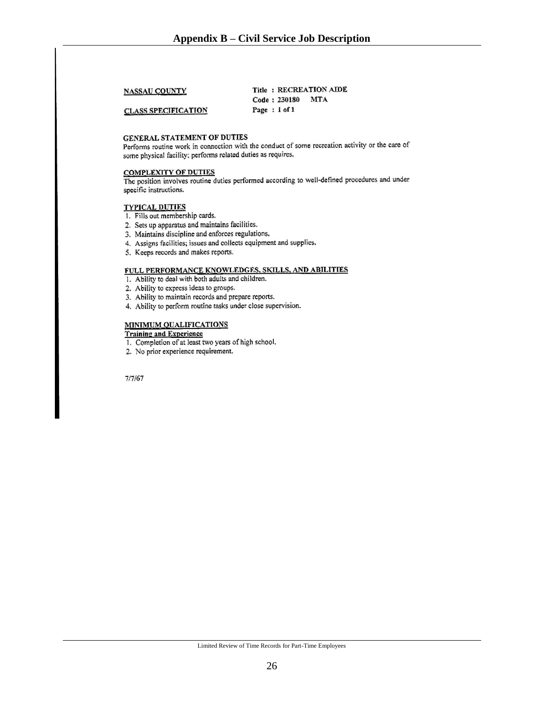**NASSAU COUNTY** 

Title: RECREATION AIDE Code: 230180 MTA Page: 1 of 1

**CLASS SPECIFICATION** 

#### **GENERAL STATEMENT OF DUTIES**

Performs routine work in connection with the conduct of some recreation activity or the care of some physical facility; performs related duties as requires.

#### **COMPLEXITY OF DUTIES**

The position involves routine duties performed according to well-defined procedures and under specific instructions.

#### **TYPICAL DUTIES**

- 1. Fills out membership cards.
- 2. Sets up apparatus and maintains facilities.
- 3. Maintains discipline and enforces regulations.
- 4. Assigns facilities; issues and collects equipment and supplies.
- 5. Keeps records and makes reports.

#### FULL PERFORMANCE KNOWLEDGES, SKILLS, AND ABILITIES

- 1. Ability to deal with both adults and children.
- 2. Ability to express ideas to groups.
- 3. Ability to maintain records and prepare reports.
- 4. Ability to perform routine tasks under close supervision.

#### **MINIMUM QUALIFICATIONS**

**Training and Experience** 

- 1. Completion of at least two years of high school.
- 2. No prior experience requirement.

 $7/7/67$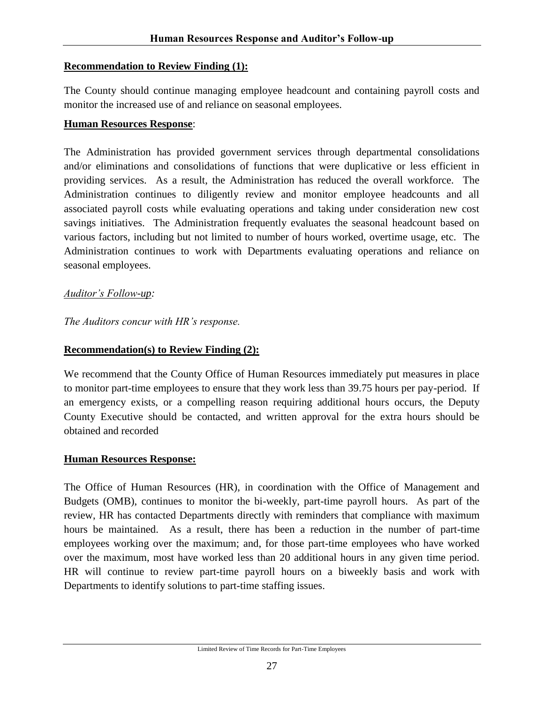#### <span id="page-31-0"></span>**Recommendation to Review Finding (1):**

The County should continue managing employee headcount and containing payroll costs and monitor the increased use of and reliance on seasonal employees.

#### **Human Resources Response**:

The Administration has provided government services through departmental consolidations and/or eliminations and consolidations of functions that were duplicative or less efficient in providing services. As a result, the Administration has reduced the overall workforce. The Administration continues to diligently review and monitor employee headcounts and all associated payroll costs while evaluating operations and taking under consideration new cost savings initiatives. The Administration frequently evaluates the seasonal headcount based on various factors, including but not limited to number of hours worked, overtime usage, etc. The Administration continues to work with Departments evaluating operations and reliance on seasonal employees.

#### *Auditor's Follow-up:*

*The Auditors concur with HR's response.*

## **Recommendation(s) to Review Finding (2):**

We recommend that the County Office of Human Resources immediately put measures in place to monitor part-time employees to ensure that they work less than 39.75 hours per pay-period. If an emergency exists, or a compelling reason requiring additional hours occurs, the Deputy County Executive should be contacted, and written approval for the extra hours should be obtained and recorded

#### **Human Resources Response:**

The Office of Human Resources (HR), in coordination with the Office of Management and Budgets (OMB), continues to monitor the bi-weekly, part-time payroll hours. As part of the review, HR has contacted Departments directly with reminders that compliance with maximum hours be maintained. As a result, there has been a reduction in the number of part-time employees working over the maximum; and, for those part-time employees who have worked over the maximum, most have worked less than 20 additional hours in any given time period. HR will continue to review part-time payroll hours on a biweekly basis and work with Departments to identify solutions to part-time staffing issues.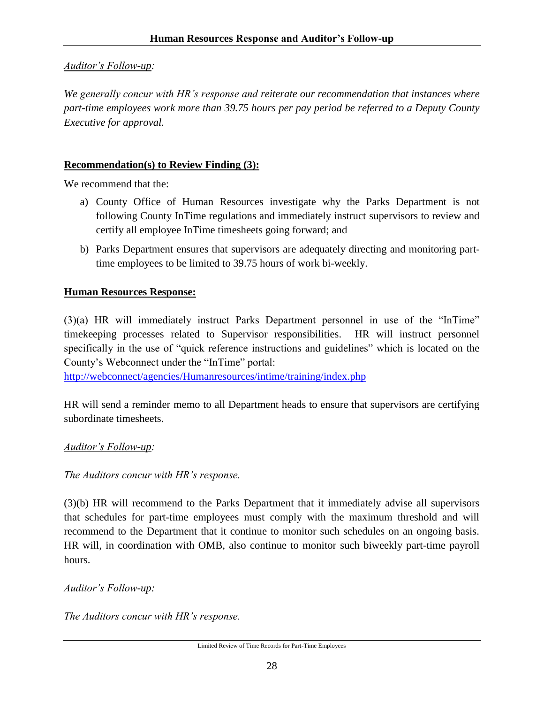#### *Auditor's Follow-up:*

*We generally concur with HR's response and reiterate our recommendation that instances where part-time employees work more than 39.75 hours per pay period be referred to a Deputy County Executive for approval.*

#### **Recommendation(s) to Review Finding (3):**

We recommend that the:

- a) County Office of Human Resources investigate why the Parks Department is not following County InTime regulations and immediately instruct supervisors to review and certify all employee InTime timesheets going forward; and
- b) Parks Department ensures that supervisors are adequately directing and monitoring parttime employees to be limited to 39.75 hours of work bi-weekly.

#### **Human Resources Response:**

(3)(a) HR will immediately instruct Parks Department personnel in use of the "InTime" timekeeping processes related to Supervisor responsibilities. HR will instruct personnel specifically in the use of "quick reference instructions and guidelines" which is located on the County's Webconnect under the "InTime" portal:

<http://webconnect/agencies/Humanresources/intime/training/index.php>

HR will send a reminder memo to all Department heads to ensure that supervisors are certifying subordinate timesheets.

#### *Auditor's Follow-up:*

#### *The Auditors concur with HR's response.*

(3)(b) HR will recommend to the Parks Department that it immediately advise all supervisors that schedules for part-time employees must comply with the maximum threshold and will recommend to the Department that it continue to monitor such schedules on an ongoing basis. HR will, in coordination with OMB, also continue to monitor such biweekly part-time payroll hours.

#### *Auditor's Follow-up:*

*The Auditors concur with HR's response.*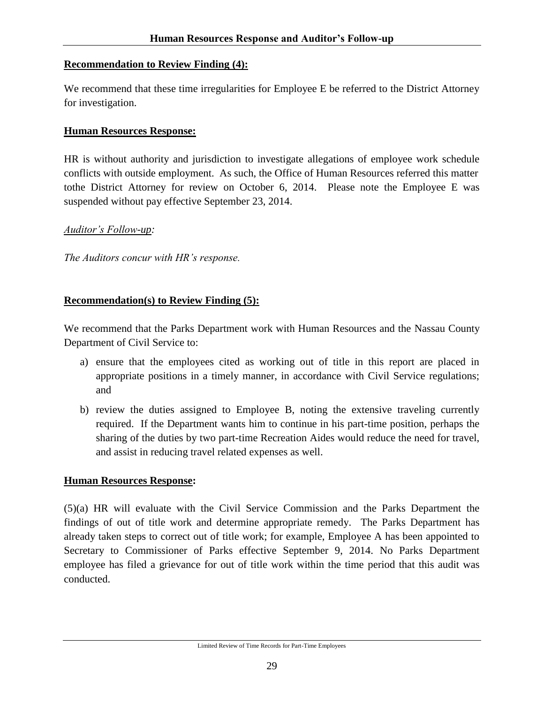#### **Recommendation to Review Finding (4):**

We recommend that these time irregularities for Employee E be referred to the District Attorney for investigation.

#### **Human Resources Response:**

HR is without authority and jurisdiction to investigate allegations of employee work schedule conflicts with outside employment. As such, the Office of Human Resources referred this matter tothe District Attorney for review on October 6, 2014. Please note the Employee E was suspended without pay effective September 23, 2014.

#### *Auditor's Follow-up:*

*The Auditors concur with HR's response.*

#### **Recommendation(s) to Review Finding (5):**

We recommend that the Parks Department work with Human Resources and the Nassau County Department of Civil Service to:

- a) ensure that the employees cited as working out of title in this report are placed in appropriate positions in a timely manner, in accordance with Civil Service regulations; and
- b) review the duties assigned to Employee B, noting the extensive traveling currently required. If the Department wants him to continue in his part-time position, perhaps the sharing of the duties by two part-time Recreation Aides would reduce the need for travel, and assist in reducing travel related expenses as well.

#### **Human Resources Response:**

(5)(a) HR will evaluate with the Civil Service Commission and the Parks Department the findings of out of title work and determine appropriate remedy. The Parks Department has already taken steps to correct out of title work; for example, Employee A has been appointed to Secretary to Commissioner of Parks effective September 9, 2014. No Parks Department employee has filed a grievance for out of title work within the time period that this audit was conducted.